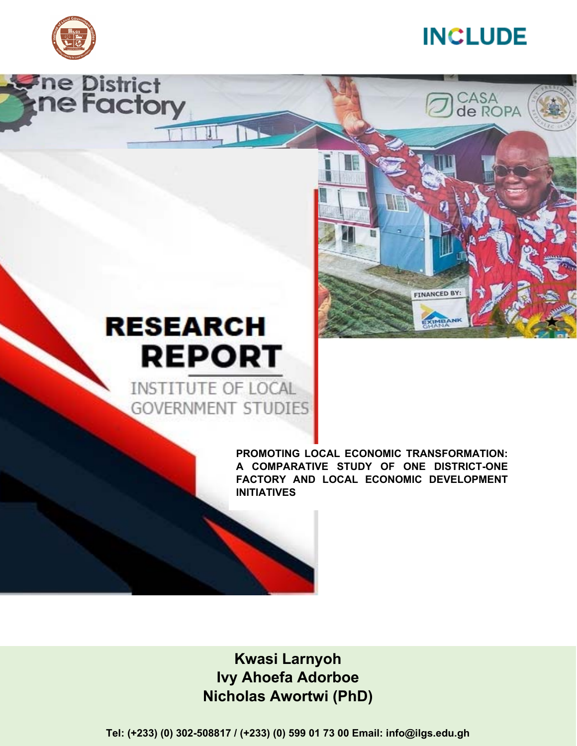

**Fine District<br>Ine Factory** 



CASA<br>de ROPA

**FINANCED BY** 

# **RESEARCH REPORT**

INSTITUTE OF LOCAL **GOVERNMENT STUDIES** 

> **PROMOTING LOCAL ECONOMIC TRANSFORMATION: A COMPARATIVE STUDY OF ONE DISTRICT-ONE FACTORY AND LOCAL ECONOMIC DEVELOPMENT INITIATIVES**

i **Nicholas Awortwi (PhD) Kwasi Larnyoh Ivy Ahoefa Adorboe** 

**Tel: (+233) (0) 302-508817 / (+233) (0) 599 01 73 00 Email: info@ilgs.edu.gh**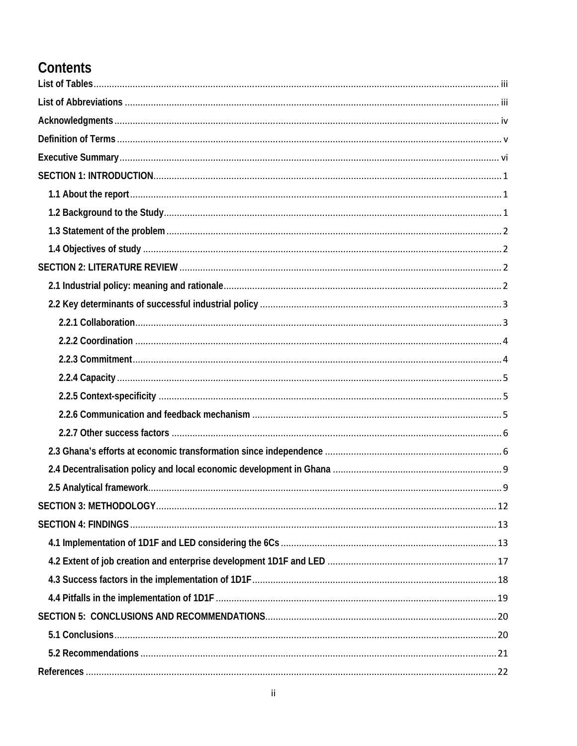### Contents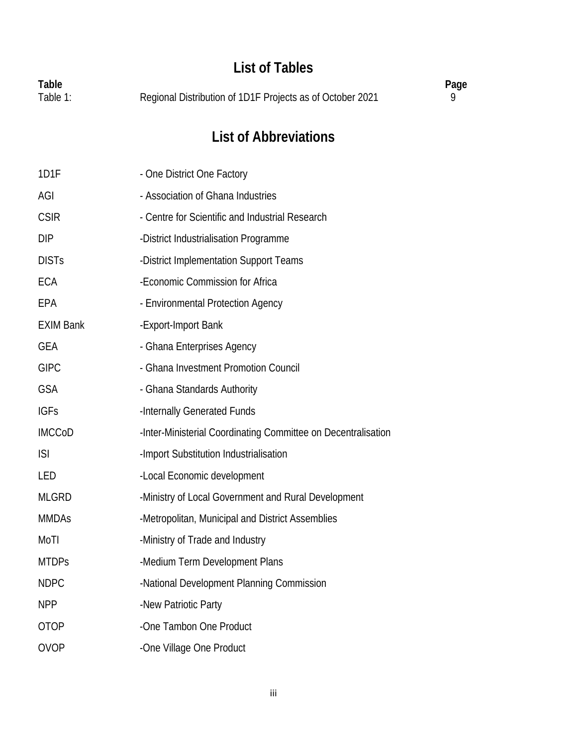### **List of Tables**

| Table    |                                                           | Page |
|----------|-----------------------------------------------------------|------|
| Table 1: | Regional Distribution of 1D1F Projects as of October 2021 |      |

### **List of Abbreviations**

| 1D1F             | - One District One Factory                                    |
|------------------|---------------------------------------------------------------|
| AGI              | - Association of Ghana Industries                             |
| <b>CSIR</b>      | - Centre for Scientific and Industrial Research               |
| <b>DIP</b>       | -District Industrialisation Programme                         |
| <b>DISTs</b>     | -District Implementation Support Teams                        |
| <b>ECA</b>       | -Economic Commission for Africa                               |
| EPA              | - Environmental Protection Agency                             |
| <b>EXIM Bank</b> | -Export-Import Bank                                           |
| <b>GEA</b>       | - Ghana Enterprises Agency                                    |
| <b>GIPC</b>      | - Ghana Investment Promotion Council                          |
| <b>GSA</b>       | - Ghana Standards Authority                                   |
| <b>IGFs</b>      | -Internally Generated Funds                                   |
| <b>IMCCoD</b>    | -Inter-Ministerial Coordinating Committee on Decentralisation |
| <b>ISI</b>       | -Import Substitution Industrialisation                        |
| LED              | -Local Economic development                                   |
| <b>MLGRD</b>     | -Ministry of Local Government and Rural Development           |
| <b>MMDAs</b>     | -Metropolitan, Municipal and District Assemblies              |
| MoTI             | -Ministry of Trade and Industry                               |
| <b>MTDPs</b>     | -Medium Term Development Plans                                |
| <b>NDPC</b>      | -National Development Planning Commission                     |
| <b>NPP</b>       | -New Patriotic Party                                          |
| <b>OTOP</b>      | -One Tambon One Product                                       |
| <b>OVOP</b>      | -One Village One Product                                      |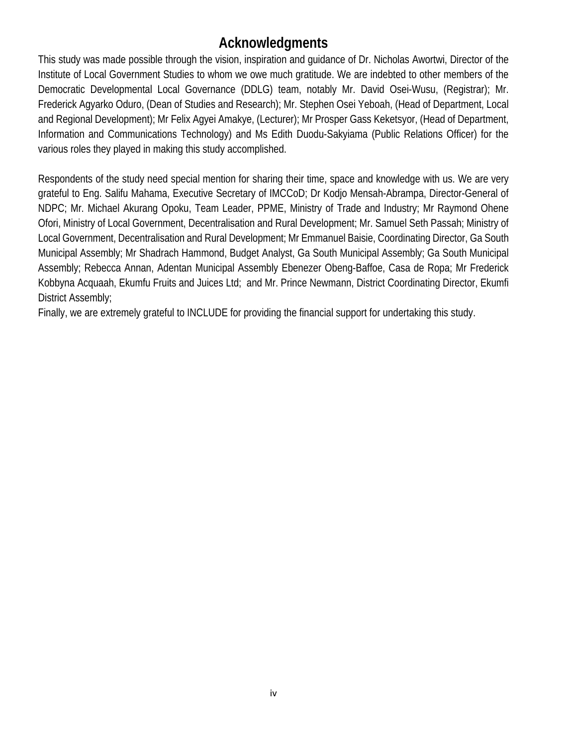### **Acknowledgments**

This study was made possible through the vision, inspiration and guidance of Dr. Nicholas Awortwi, Director of the Institute of Local Government Studies to whom we owe much gratitude. We are indebted to other members of the Democratic Developmental Local Governance (DDLG) team, notably Mr. David Osei-Wusu, (Registrar); Mr. Frederick Agyarko Oduro, (Dean of Studies and Research); Mr. Stephen Osei Yeboah, (Head of Department, Local and Regional Development); Mr Felix Agyei Amakye, (Lecturer); Mr Prosper Gass Keketsyor, (Head of Department, Information and Communications Technology) and Ms Edith Duodu-Sakyiama (Public Relations Officer) for the various roles they played in making this study accomplished.

Respondents of the study need special mention for sharing their time, space and knowledge with us. We are very grateful to Eng. Salifu Mahama, Executive Secretary of IMCCoD; Dr Kodjo Mensah-Abrampa, Director-General of NDPC; Mr. Michael Akurang Opoku, Team Leader, PPME, Ministry of Trade and Industry; Mr Raymond Ohene Ofori, Ministry of Local Government, Decentralisation and Rural Development; Mr. Samuel Seth Passah; Ministry of Local Government, Decentralisation and Rural Development; Mr Emmanuel Baisie, Coordinating Director, Ga South Municipal Assembly; Mr Shadrach Hammond, Budget Analyst, Ga South Municipal Assembly; Ga South Municipal Assembly; Rebecca Annan, Adentan Municipal Assembly Ebenezer Obeng-Baffoe, Casa de Ropa; Mr Frederick Kobbyna Acquaah, Ekumfu Fruits and Juices Ltd; and Mr. Prince Newmann, District Coordinating Director, Ekumfi District Assembly;

Finally, we are extremely grateful to INCLUDE for providing the financial support for undertaking this study.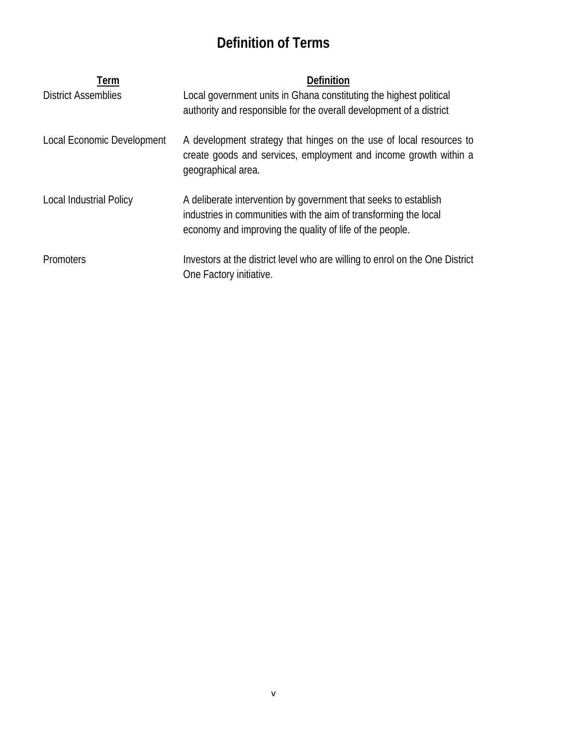### **Definition of Terms**

| Term                       | <b>Definition</b>                                                                                                                                                                               |
|----------------------------|-------------------------------------------------------------------------------------------------------------------------------------------------------------------------------------------------|
| <b>District Assemblies</b> | Local government units in Ghana constituting the highest political                                                                                                                              |
|                            | authority and responsible for the overall development of a district                                                                                                                             |
| Local Economic Development | A development strategy that hinges on the use of local resources to<br>create goods and services, employment and income growth within a<br>geographical area.                                   |
| Local Industrial Policy    | A deliberate intervention by government that seeks to establish<br>industries in communities with the aim of transforming the local<br>economy and improving the quality of life of the people. |
| <b>Promoters</b>           | Investors at the district level who are willing to enrol on the One District<br>One Factory initiative.                                                                                         |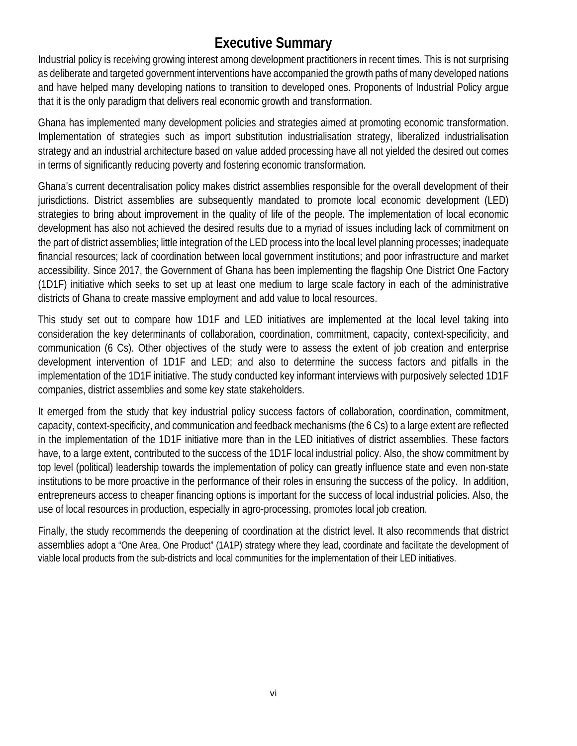### **Executive Summary**

Industrial policy is receiving growing interest among development practitioners in recent times. This is not surprising as deliberate and targeted government interventions have accompanied the growth paths of many developed nations and have helped many developing nations to transition to developed ones. Proponents of Industrial Policy argue that it is the only paradigm that delivers real economic growth and transformation.

Ghana has implemented many development policies and strategies aimed at promoting economic transformation. Implementation of strategies such as import substitution industrialisation strategy, liberalized industrialisation strategy and an industrial architecture based on value added processing have all not yielded the desired out comes in terms of significantly reducing poverty and fostering economic transformation.

Ghana's current decentralisation policy makes district assemblies responsible for the overall development of their jurisdictions. District assemblies are subsequently mandated to promote local economic development (LED) strategies to bring about improvement in the quality of life of the people. The implementation of local economic development has also not achieved the desired results due to a myriad of issues including lack of commitment on the part of district assemblies; little integration of the LED process into the local level planning processes; inadequate financial resources; lack of coordination between local government institutions; and poor infrastructure and market accessibility. Since 2017, the Government of Ghana has been implementing the flagship One District One Factory (1D1F) initiative which seeks to set up at least one medium to large scale factory in each of the administrative districts of Ghana to create massive employment and add value to local resources.

This study set out to compare how 1D1F and LED initiatives are implemented at the local level taking into consideration the key determinants of collaboration, coordination, commitment, capacity, context-specificity, and communication (6 Cs). Other objectives of the study were to assess the extent of job creation and enterprise development intervention of 1D1F and LED; and also to determine the success factors and pitfalls in the implementation of the 1D1F initiative. The study conducted key informant interviews with purposively selected 1D1F companies, district assemblies and some key state stakeholders.

It emerged from the study that key industrial policy success factors of collaboration, coordination, commitment, capacity, context-specificity, and communication and feedback mechanisms (the 6 Cs) to a large extent are reflected in the implementation of the 1D1F initiative more than in the LED initiatives of district assemblies. These factors have, to a large extent, contributed to the success of the 1D1F local industrial policy. Also, the show commitment by top level (political) leadership towards the implementation of policy can greatly influence state and even non-state institutions to be more proactive in the performance of their roles in ensuring the success of the policy. In addition, entrepreneurs access to cheaper financing options is important for the success of local industrial policies. Also, the use of local resources in production, especially in agro-processing, promotes local job creation.

Finally, the study recommends the deepening of coordination at the district level. It also recommends that district assemblies adopt a "One Area, One Product" (1A1P) strategy where they lead, coordinate and facilitate the development of viable local products from the sub-districts and local communities for the implementation of their LED initiatives.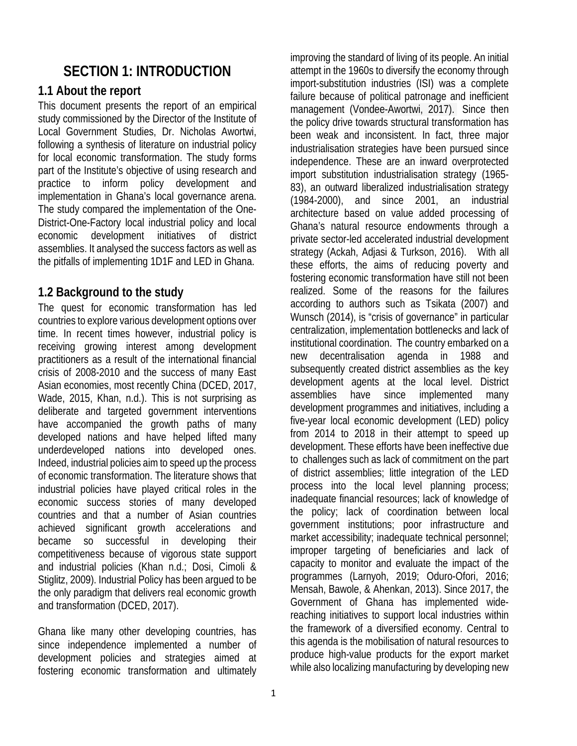### **SECTION 1: INTRODUCTION**

### **1.1 About the report**

This document presents the report of an empirical study commissioned by the Director of the Institute of Local Government Studies, Dr. Nicholas Awortwi, following a synthesis of literature on industrial policy for local economic transformation. The study forms part of the Institute's objective of using research and practice to inform policy development and implementation in Ghana's local governance arena. The study compared the implementation of the One-District-One-Factory local industrial policy and local economic development initiatives of district assemblies. It analysed the success factors as well as the pitfalls of implementing 1D1F and LED in Ghana.

### **1.2 Background to the study**

The quest for economic transformation has led countries to explore various development options over time. In recent times however, industrial policy is receiving growing interest among development practitioners as a result of the international financial crisis of 2008-2010 and the success of many East Asian economies, most recently China (DCED, 2017, Wade, 2015, Khan, n.d.). This is not surprising as deliberate and targeted government interventions have accompanied the growth paths of many developed nations and have helped lifted many underdeveloped nations into developed ones. Indeed, industrial policies aim to speed up the process of economic transformation. The literature shows that industrial policies have played critical roles in the economic success stories of many developed countries and that a number of Asian countries achieved significant growth accelerations and became so successful in developing their competitiveness because of vigorous state support and industrial policies (Khan n.d.; Dosi, Cimoli & Stiglitz, 2009). Industrial Policy has been argued to be the only paradigm that delivers real economic growth and transformation (DCED, 2017).

Ghana like many other developing countries, has since independence implemented a number of development policies and strategies aimed at fostering economic transformation and ultimately

improving the standard of living of its people. An initial attempt in the 1960s to diversify the economy through import-substitution industries (ISI) was a complete failure because of political patronage and inefficient management (Vondee-Awortwi, 2017). Since then the policy drive towards structural transformation has been weak and inconsistent. In fact, three major industrialisation strategies have been pursued since independence. These are an inward overprotected import substitution industrialisation strategy (1965- 83), an outward liberalized industrialisation strategy (1984-2000), and since 2001, an industrial architecture based on value added processing of Ghana's natural resource endowments through a private sector-led accelerated industrial development strategy (Ackah, Adjasi & Turkson, 2016). With all these efforts, the aims of reducing poverty and fostering economic transformation have still not been realized. Some of the reasons for the failures according to authors such as Tsikata (2007) and Wunsch (2014), is "crisis of governance" in particular centralization, implementation bottlenecks and lack of institutional coordination. The country embarked on a new decentralisation agenda in 1988 and subsequently created district assemblies as the key development agents at the local level. District assemblies have since implemented many development programmes and initiatives, including a five-year local economic development (LED) policy from 2014 to 2018 in their attempt to speed up development. These efforts have been ineffective due to challenges such as lack of commitment on the part of district assemblies; little integration of the LED process into the local level planning process; inadequate financial resources; lack of knowledge of the policy; lack of coordination between local government institutions; poor infrastructure and market accessibility; inadequate technical personnel; improper targeting of beneficiaries and lack of capacity to monitor and evaluate the impact of the programmes (Larnyoh, 2019; Oduro-Ofori, 2016; Mensah, Bawole, & Ahenkan, 2013). Since 2017, the Government of Ghana has implemented widereaching initiatives to support local industries within the framework of a diversified economy. Central to this agenda is the mobilisation of natural resources to produce high-value products for the export market

while also localizing manufacturing by developing new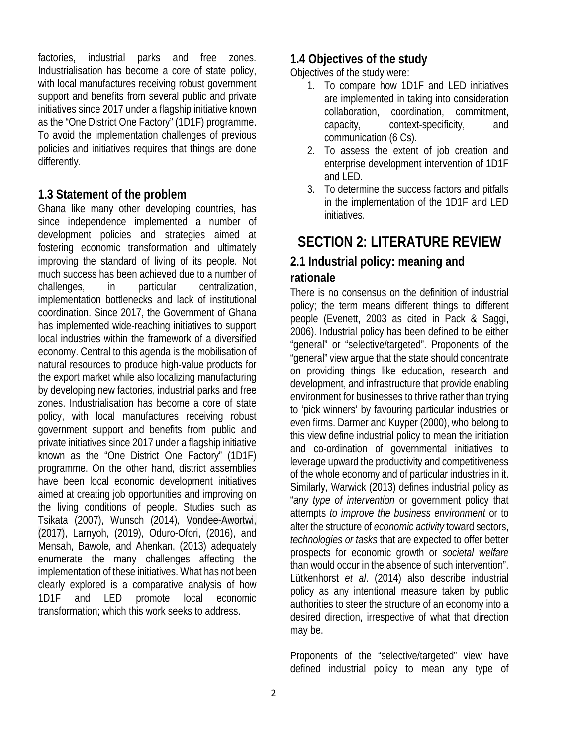factories, industrial parks and free zones. Industrialisation has become a core of state policy, with local manufactures receiving robust government support and benefits from several public and private initiatives since 2017 under a flagship initiative known as the "One District One Factory" (1D1F) programme. To avoid the implementation challenges of previous policies and initiatives requires that things are done differently.

### **1.3 Statement of the problem**

Ghana like many other developing countries, has since independence implemented a number of development policies and strategies aimed at fostering economic transformation and ultimately improving the standard of living of its people. Not much success has been achieved due to a number of challenges, in particular centralization, implementation bottlenecks and lack of institutional coordination. Since 2017, the Government of Ghana has implemented wide-reaching initiatives to support local industries within the framework of a diversified economy. Central to this agenda is the mobilisation of natural resources to produce high-value products for the export market while also localizing manufacturing by developing new factories, industrial parks and free zones. Industrialisation has become a core of state policy, with local manufactures receiving robust government support and benefits from public and private initiatives since 2017 under a flagship initiative known as the "One District One Factory" (1D1F) programme. On the other hand, district assemblies have been local economic development initiatives aimed at creating job opportunities and improving on the living conditions of people. Studies such as Tsikata (2007), Wunsch (2014), Vondee-Awortwi, (2017), Larnyoh, (2019), Oduro-Ofori, (2016), and Mensah, Bawole, and Ahenkan, (2013) adequately enumerate the many challenges affecting the implementation of these initiatives. What has not been clearly explored is a comparative analysis of how 1D1F and LED promote local economic transformation; which this work seeks to address.

### **1.4 Objectives of the study**

Objectives of the study were:

- 1. To compare how 1D1F and LED initiatives are implemented in taking into consideration collaboration, coordination, commitment, capacity, context-specificity, and communication (6 Cs).
- 2. To assess the extent of job creation and enterprise development intervention of 1D1F and LED.
- 3. To determine the success factors and pitfalls in the implementation of the 1D1F and LED initiatives.

### **SECTION 2: LITERATURE REVIEW**

### **2.1 Industrial policy: meaning and rationale**

There is no consensus on the definition of industrial policy; the term means different things to different people (Evenett, 2003 as cited in Pack & Saggi, 2006). Industrial policy has been defined to be either "general" or "selective/targeted". Proponents of the "general" view argue that the state should concentrate on providing things like education, research and development, and infrastructure that provide enabling environment for businesses to thrive rather than trying to 'pick winners' by favouring particular industries or even firms. Darmer and Kuyper (2000), who belong to this view define industrial policy to mean the initiation and co-ordination of governmental initiatives to leverage upward the productivity and competitiveness of the whole economy and of particular industries in it. Similarly, Warwick (2013) defines industrial policy as "*any type of intervention* or government policy that attempts *to improve the business environment* or to alter the structure of *economic activity* toward sectors, *technologies or tasks* that are expected to offer better prospects for economic growth or *societal welfare*  than would occur in the absence of such intervention". Lütkenhorst *et al*. (2014) also describe industrial policy as any intentional measure taken by public authorities to steer the structure of an economy into a desired direction, irrespective of what that direction may be.

Proponents of the "selective/targeted" view have defined industrial policy to mean any type of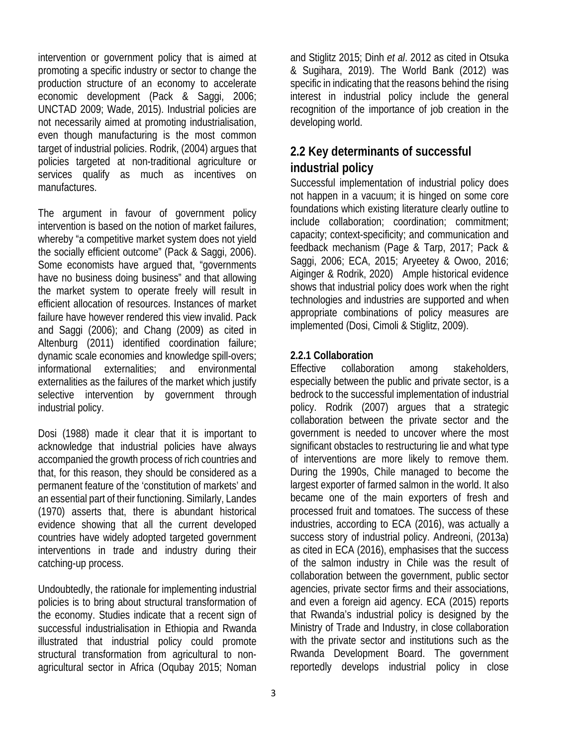intervention or government policy that is aimed at promoting a specific industry or sector to change the production structure of an economy to accelerate economic development (Pack & Saggi, 2006; UNCTAD 2009; Wade, 2015). Industrial policies are not necessarily aimed at promoting industrialisation, even though manufacturing is the most common target of industrial policies. Rodrik, (2004) argues that policies targeted at non-traditional agriculture or services qualify as much as incentives on manufactures.

The argument in favour of government policy intervention is based on the notion of market failures, whereby "a competitive market system does not yield the socially efficient outcome" (Pack & Saggi, 2006). Some economists have argued that, "governments have no business doing business" and that allowing the market system to operate freely will result in efficient allocation of resources. Instances of market failure have however rendered this view invalid. Pack and Saggi (2006); and Chang (2009) as cited in Altenburg (2011) identified coordination failure; dynamic scale economies and knowledge spill-overs; informational externalities; and environmental externalities as the failures of the market which justify selective intervention by government through industrial policy.

Dosi (1988) made it clear that it is important to acknowledge that industrial policies have always accompanied the growth process of rich countries and that, for this reason, they should be considered as a permanent feature of the 'constitution of markets' and an essential part of their functioning. Similarly, Landes (1970) asserts that, there is abundant historical evidence showing that all the current developed countries have widely adopted targeted government interventions in trade and industry during their catching-up process.

Undoubtedly, the rationale for implementing industrial policies is to bring about structural transformation of the economy. Studies indicate that a recent sign of successful industrialisation in Ethiopia and Rwanda illustrated that industrial policy could promote structural transformation from agricultural to nonagricultural sector in Africa (Oqubay 2015; Noman

and Stiglitz 2015; Dinh *et al*. 2012 as cited in Otsuka & Sugihara, 2019). The World Bank (2012) was specific in indicating that the reasons behind the rising interest in industrial policy include the general recognition of the importance of job creation in the developing world.

### **2.2 Key determinants of successful industrial policy**

Successful implementation of industrial policy does not happen in a vacuum; it is hinged on some core foundations which existing literature clearly outline to include collaboration; coordination; commitment; capacity; context-specificity; and communication and feedback mechanism (Page & Tarp, 2017; Pack & Saggi, 2006; ECA, 2015; Aryeetey & Owoo, 2016; Aiginger & Rodrik, 2020) Ample historical evidence shows that industrial policy does work when the right technologies and industries are supported and when appropriate combinations of policy measures are implemented (Dosi, Cimoli & Stiglitz, 2009).

#### **2.2.1 Collaboration**

Effective collaboration among stakeholders, especially between the public and private sector, is a bedrock to the successful implementation of industrial policy. Rodrik (2007) argues that a strategic collaboration between the private sector and the government is needed to uncover where the most significant obstacles to restructuring lie and what type of interventions are more likely to remove them. During the 1990s, Chile managed to become the largest exporter of farmed salmon in the world. It also became one of the main exporters of fresh and processed fruit and tomatoes. The success of these industries, according to ECA (2016), was actually a success story of industrial policy. Andreoni, (2013a) as cited in ECA (2016), emphasises that the success of the salmon industry in Chile was the result of collaboration between the government, public sector agencies, private sector firms and their associations, and even a foreign aid agency. ECA (2015) reports that Rwanda's industrial policy is designed by the Ministry of Trade and Industry, in close collaboration with the private sector and institutions such as the Rwanda Development Board. The government reportedly develops industrial policy in close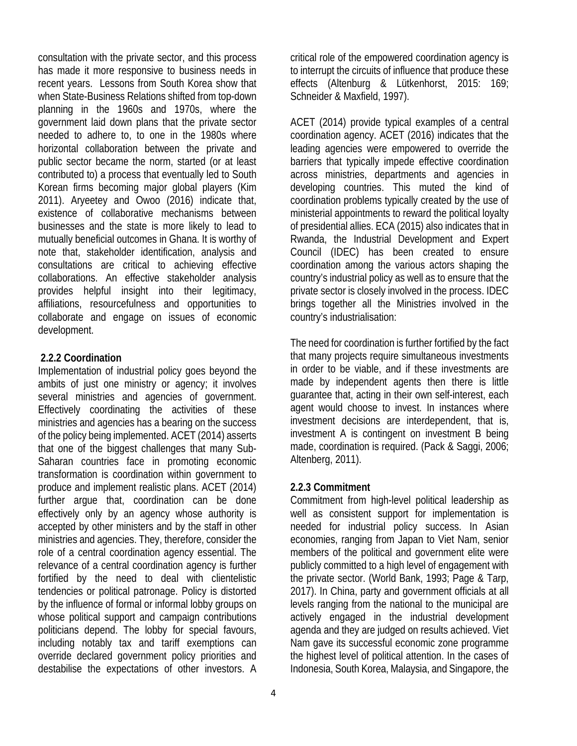consultation with the private sector, and this process has made it more responsive to business needs in recent years. Lessons from South Korea show that when State-Business Relations shifted from top-down planning in the 1960s and 1970s, where the government laid down plans that the private sector needed to adhere to, to one in the 1980s where horizontal collaboration between the private and public sector became the norm, started (or at least contributed to) a process that eventually led to South Korean firms becoming major global players (Kim 2011). Aryeetey and Owoo (2016) indicate that, existence of collaborative mechanisms between businesses and the state is more likely to lead to mutually beneficial outcomes in Ghana. It is worthy of note that, stakeholder identification, analysis and consultations are critical to achieving effective collaborations. An effective stakeholder analysis provides helpful insight into their legitimacy, affiliations, resourcefulness and opportunities to collaborate and engage on issues of economic development.

#### **2.2.2 Coordination**

Implementation of industrial policy goes beyond the ambits of just one ministry or agency; it involves several ministries and agencies of government. Effectively coordinating the activities of these ministries and agencies has a bearing on the success of the policy being implemented. ACET (2014) asserts that one of the biggest challenges that many Sub-Saharan countries face in promoting economic transformation is coordination within government to produce and implement realistic plans. ACET (2014) further argue that, coordination can be done effectively only by an agency whose authority is accepted by other ministers and by the staff in other ministries and agencies. They, therefore, consider the role of a central coordination agency essential. The relevance of a central coordination agency is further fortified by the need to deal with clientelistic tendencies or political patronage. Policy is distorted by the influence of formal or informal lobby groups on whose political support and campaign contributions politicians depend. The lobby for special favours, including notably tax and tariff exemptions can override declared government policy priorities and destabilise the expectations of other investors. A

critical role of the empowered coordination agency is to interrupt the circuits of influence that produce these effects (Altenburg & Lütkenhorst, 2015: 169; Schneider & Maxfield, 1997).

ACET (2014) provide typical examples of a central coordination agency. ACET (2016) indicates that the leading agencies were empowered to override the barriers that typically impede effective coordination across ministries, departments and agencies in developing countries. This muted the kind of coordination problems typically created by the use of ministerial appointments to reward the political loyalty of presidential allies. ECA (2015) also indicates that in Rwanda, the Industrial Development and Expert Council (IDEC) has been created to ensure coordination among the various actors shaping the country's industrial policy as well as to ensure that the private sector is closely involved in the process. IDEC brings together all the Ministries involved in the country's industrialisation:

The need for coordination is further fortified by the fact that many projects require simultaneous investments in order to be viable, and if these investments are made by independent agents then there is little guarantee that, acting in their own self-interest, each agent would choose to invest. In instances where investment decisions are interdependent, that is, investment A is contingent on investment B being made, coordination is required. (Pack & Saggi, 2006; Altenberg, 2011).

### **2.2.3 Commitment**

Commitment from high-level political leadership as well as consistent support for implementation is needed for industrial policy success. In Asian economies, ranging from Japan to Viet Nam, senior members of the political and government elite were publicly committed to a high level of engagement with the private sector. (World Bank, 1993; Page & Tarp, 2017). In China, party and government officials at all levels ranging from the national to the municipal are actively engaged in the industrial development agenda and they are judged on results achieved. Viet Nam gave its successful economic zone programme the highest level of political attention. In the cases of Indonesia, South Korea, Malaysia, and Singapore, the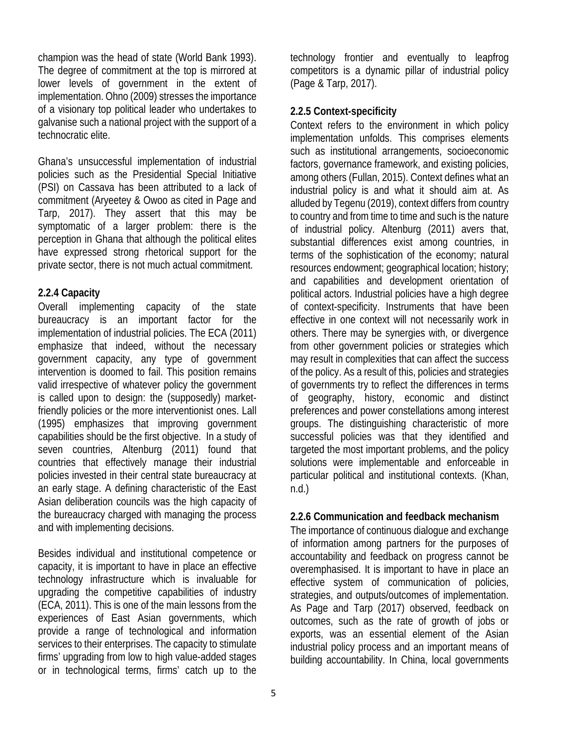champion was the head of state (World Bank 1993). The degree of commitment at the top is mirrored at lower levels of government in the extent of implementation. Ohno (2009) stresses the importance of a visionary top political leader who undertakes to galvanise such a national project with the support of a technocratic elite.

Ghana's unsuccessful implementation of industrial policies such as the Presidential Special Initiative (PSI) on Cassava has been attributed to a lack of commitment (Aryeetey & Owoo as cited in Page and Tarp, 2017). They assert that this may be symptomatic of a larger problem: there is the perception in Ghana that although the political elites have expressed strong rhetorical support for the private sector, there is not much actual commitment.

### **2.2.4 Capacity**

Overall implementing capacity of the state bureaucracy is an important factor for the implementation of industrial policies. The ECA (2011) emphasize that indeed, without the necessary government capacity, any type of government intervention is doomed to fail. This position remains valid irrespective of whatever policy the government is called upon to design: the (supposedly) marketfriendly policies or the more interventionist ones. Lall (1995) emphasizes that improving government capabilities should be the first objective. In a study of seven countries, Altenburg (2011) found that countries that effectively manage their industrial policies invested in their central state bureaucracy at an early stage. A defining characteristic of the East Asian deliberation councils was the high capacity of the bureaucracy charged with managing the process and with implementing decisions.

Besides individual and institutional competence or capacity, it is important to have in place an effective technology infrastructure which is invaluable for upgrading the competitive capabilities of industry (ECA, 2011). This is one of the main lessons from the experiences of East Asian governments, which provide a range of technological and information services to their enterprises. The capacity to stimulate firms' upgrading from low to high value-added stages or in technological terms, firms' catch up to the

technology frontier and eventually to leapfrog competitors is a dynamic pillar of industrial policy (Page & Tarp, 2017).

### **2.2.5 Context-specificity**

Context refers to the environment in which policy implementation unfolds. This comprises elements such as institutional arrangements, socioeconomic factors, governance framework, and existing policies, among others (Fullan, 2015). Context defines what an industrial policy is and what it should aim at. As alluded by Tegenu (2019), context differs from country to country and from time to time and such is the nature of industrial policy. Altenburg (2011) avers that, substantial differences exist among countries, in terms of the sophistication of the economy; natural resources endowment; geographical location; history; and capabilities and development orientation of political actors. Industrial policies have a high degree of context-specificity. Instruments that have been effective in one context will not necessarily work in others. There may be synergies with, or divergence from other government policies or strategies which may result in complexities that can affect the success of the policy. As a result of this, policies and strategies of governments try to reflect the differences in terms of geography, history, economic and distinct preferences and power constellations among interest groups. The distinguishing characteristic of more successful policies was that they identified and targeted the most important problems, and the policy solutions were implementable and enforceable in particular political and institutional contexts. (Khan, n.d.)

### **2.2.6 Communication and feedback mechanism**

The importance of continuous dialogue and exchange of information among partners for the purposes of accountability and feedback on progress cannot be overemphasised. It is important to have in place an effective system of communication of policies, strategies, and outputs/outcomes of implementation. As Page and Tarp (2017) observed, feedback on outcomes, such as the rate of growth of jobs or exports, was an essential element of the Asian industrial policy process and an important means of building accountability. In China, local governments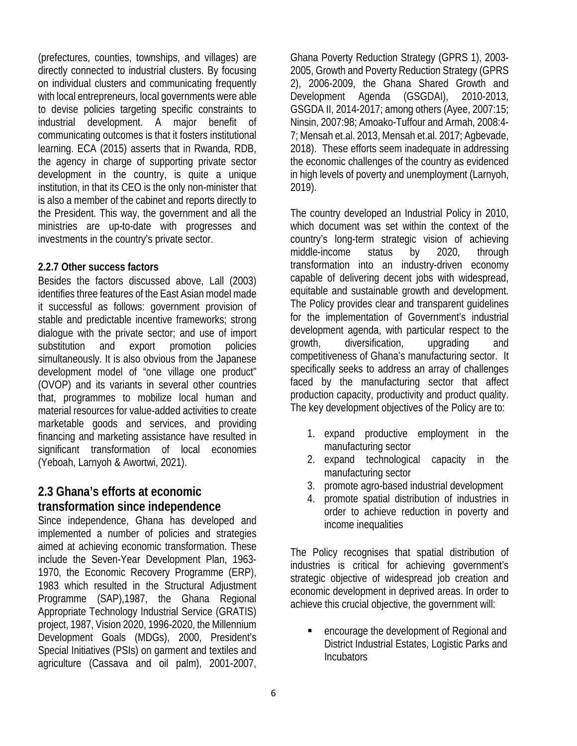(prefectures, counties, townships, and villages) are directly connected to industrial clusters. By focusing on individual clusters and communicating frequently with local entrepreneurs, local governments were able to devise policies targeting specific constraints to industrial development. A major benefit of communicating outcomes is that it fosters institutional learning. ECA (2015) asserts that in Rwanda, RDB, the agency in charge of supporting private sector development in the country, is quite a unique institution, in that its CEO is the only non-minister that is also a member of the cabinet and reports directly to the President. This way, the government and all the ministries are up-to-date with progresses and investments in the country's private sector.

#### **2.2.7 Other success factors**

Besides the factors discussed above, Lall (2003) identifies three features of the East Asian model made it successful as follows: government provision of stable and predictable incentive frameworks; strong dialogue with the private sector; and use of import substitution and export promotion policies simultaneously. It is also obvious from the Japanese development model of "one village one product" (OVOP) and its variants in several other countries that, programmes to mobilize local human and material resources for value-added activities to create marketable goods and services, and providing financing and marketing assistance have resulted in significant transformation of local economies (Yeboah, Larnyoh & Awortwi, 2021).

### **2.3 Ghana's efforts at economic transformation since independence**

Since independence, Ghana has developed and implemented a number of policies and strategies aimed at achieving economic transformation. These include the Seven-Year Development Plan, 1963- 1970, the Economic Recovery Programme (ERP), 1983 which resulted in the Structural Adjustment Programme (SAP),1987, the Ghana Regional Appropriate Technology Industrial Service (GRATIS) project, 1987, Vision 2020, 1996-2020, the Millennium Development Goals (MDGs), 2000, President's Special Initiatives (PSIs) on garment and textiles and agriculture (Cassava and oil palm), 2001-2007,

Ghana Poverty Reduction Strategy (GPRS 1), 2003- 2005, Growth and Poverty Reduction Strategy (GPRS 2), 2006-2009, the Ghana Shared Growth and Development Agenda (GSGDAI), 2010-2013, GSGDA II, 2014-2017; among others (Ayee, 2007:15; Ninsin, 2007:98; Amoako-Tuffour and Armah, 2008:4- 7; Mensah et.al. 2013, Mensah et.al. 2017; Agbevade, 2018). These efforts seem inadequate in addressing the economic challenges of the country as evidenced in high levels of poverty and unemployment (Larnyoh, 2019).

The country developed an Industrial Policy in 2010, which document was set within the context of the country's long-term strategic vision of achieving middle-income status by 2020, through transformation into an industry-driven economy capable of delivering decent jobs with widespread, equitable and sustainable growth and development. The Policy provides clear and transparent guidelines for the implementation of Government's industrial development agenda, with particular respect to the growth, diversification, upgrading and competitiveness of Ghana's manufacturing sector. It specifically seeks to address an array of challenges faced by the manufacturing sector that affect production capacity, productivity and product quality. The key development objectives of the Policy are to:

- 1. expand productive employment in the manufacturing sector
- 2. expand technological capacity in the manufacturing sector
- 3. promote agro-based industrial development
- 4. promote spatial distribution of industries in order to achieve reduction in poverty and income inequalities

The Policy recognises that spatial distribution of industries is critical for achieving government's strategic objective of widespread job creation and economic development in deprived areas. In order to achieve this crucial objective, the government will:

■ encourage the development of Regional and District Industrial Estates, Logistic Parks and Incubators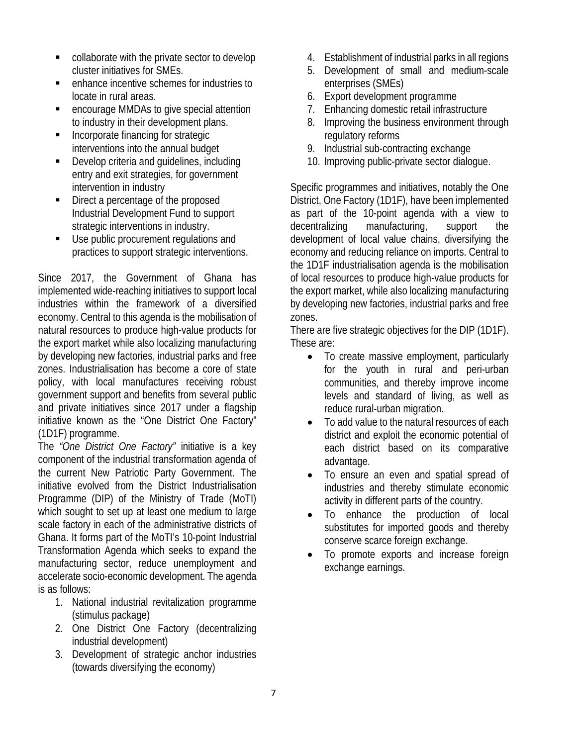- **Collaborate with the private sector to develop** cluster initiatives for SMEs.
- enhance incentive schemes for industries to locate in rural areas.
- **EXECOUTAGE MMDAS to give special attention** to industry in their development plans.
- **Incorporate financing for strategic** interventions into the annual budget
- **Develop criteria and quidelines, including** entry and exit strategies, for government intervention in industry
- Direct a percentage of the proposed Industrial Development Fund to support strategic interventions in industry.
- Use public procurement regulations and practices to support strategic interventions.

Since 2017, the Government of Ghana has implemented wide-reaching initiatives to support local industries within the framework of a diversified economy. Central to this agenda is the mobilisation of natural resources to produce high-value products for the export market while also localizing manufacturing by developing new factories, industrial parks and free zones. Industrialisation has become a core of state policy, with local manufactures receiving robust government support and benefits from several public and private initiatives since 2017 under a flagship initiative known as the "One District One Factory" (1D1F) programme.

The *"One District One Factory"* initiative is a key component of the industrial transformation agenda of the current New Patriotic Party Government. The initiative evolved from the District Industrialisation Programme (DIP) of the Ministry of Trade (MoTI) which sought to set up at least one medium to large scale factory in each of the administrative districts of Ghana. It forms part of the MoTI's 10-point Industrial Transformation Agenda which seeks to expand the manufacturing sector, reduce unemployment and accelerate socio-economic development. The agenda is as follows:

- 1. National industrial revitalization programme (stimulus package)
- 2. One District One Factory (decentralizing industrial development)
- 3. Development of strategic anchor industries (towards diversifying the economy)
- 4. Establishment of industrial parks in all regions
- 5. Development of small and medium-scale enterprises (SMEs)
- 6. Export development programme
- 7. Enhancing domestic retail infrastructure
- 8. Improving the business environment through regulatory reforms
- 9. Industrial sub-contracting exchange
- 10. Improving public-private sector dialogue.

Specific programmes and initiatives, notably the One District, One Factory (1D1F), have been implemented as part of the 10-point agenda with a view to decentralizing manufacturing, support the development of local value chains, diversifying the economy and reducing reliance on imports. Central to the 1D1F industrialisation agenda is the mobilisation of local resources to produce high-value products for the export market, while also localizing manufacturing by developing new factories, industrial parks and free zones.

There are five strategic objectives for the DIP (1D1F). These are:

- To create massive employment, particularly for the youth in rural and peri-urban communities, and thereby improve income levels and standard of living, as well as reduce rural-urban migration.
- To add value to the natural resources of each district and exploit the economic potential of each district based on its comparative advantage.
- To ensure an even and spatial spread of industries and thereby stimulate economic activity in different parts of the country.
- To enhance the production of local substitutes for imported goods and thereby conserve scarce foreign exchange.
- To promote exports and increase foreign exchange earnings.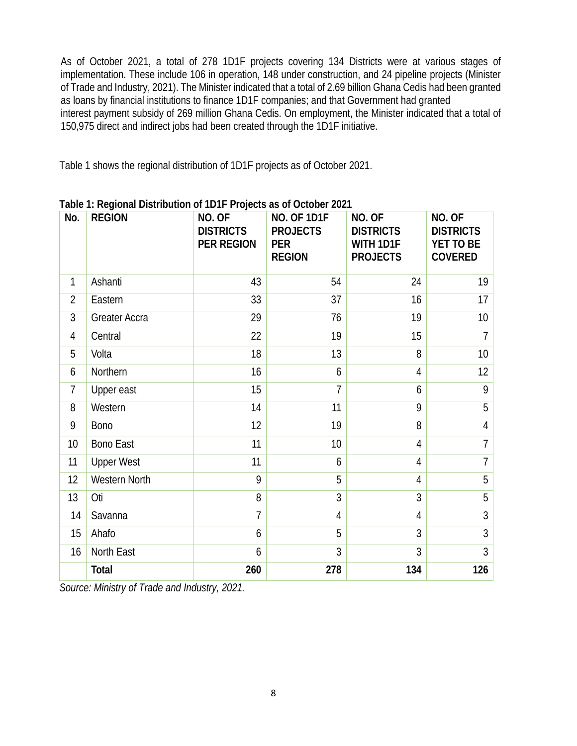As of October 2021, a total of 278 1D1F projects covering 134 Districts were at various stages of implementation. These include 106 in operation, 148 under construction, and 24 pipeline projects (Minister of Trade and Industry, 2021). The Minister indicated that a total of 2.69 billion Ghana Cedis had been granted as loans by financial institutions to finance 1D1F companies; and that Government had granted interest payment subsidy of 269 million Ghana Cedis. On employment, the Minister indicated that a total of 150,975 direct and indirect jobs had been created through the 1D1F initiative.

Table 1 shows the regional distribution of 1D1F projects as of October 2021.

| No.            | <b>REGION</b>        | NO. OF<br><b>DISTRICTS</b><br><b>PER REGION</b> | <b>NO. OF 1D1F</b><br><b>PROJECTS</b><br><b>PER</b><br><b>REGION</b> | NO. OF<br><b>DISTRICTS</b><br>WITH 1D1F<br><b>PROJECTS</b> | NO. OF<br><b>DISTRICTS</b><br>YET TO BE<br><b>COVERED</b> |
|----------------|----------------------|-------------------------------------------------|----------------------------------------------------------------------|------------------------------------------------------------|-----------------------------------------------------------|
| $\mathbf{1}$   | Ashanti              | 43                                              | 54                                                                   | 24                                                         | 19                                                        |
| $\overline{2}$ | Eastern              | 33                                              | 37                                                                   | 16                                                         | 17                                                        |
| 3              | Greater Accra        | 29                                              | 76                                                                   | 19                                                         | 10                                                        |
| 4              | Central              | 22                                              | 19                                                                   | 15                                                         | $\overline{7}$                                            |
| 5              | Volta                | 18                                              | 13                                                                   | 8                                                          | 10                                                        |
| 6              | Northern             | 16                                              | 6                                                                    | 4                                                          | 12                                                        |
| $\overline{7}$ | Upper east           | 15                                              | $\overline{7}$                                                       | 6                                                          | 9                                                         |
| 8              | Western              | 14                                              | 11                                                                   | 9                                                          | 5                                                         |
| 9              | <b>Bono</b>          | 12                                              | 19                                                                   | 8                                                          | $\overline{4}$                                            |
| 10             | <b>Bono East</b>     | 11                                              | 10                                                                   | $\overline{4}$                                             | $\overline{7}$                                            |
| 11             | <b>Upper West</b>    | 11                                              | 6                                                                    | $\overline{4}$                                             | $\overline{7}$                                            |
| 12             | <b>Western North</b> | 9                                               | 5                                                                    | $\overline{4}$                                             | 5                                                         |
| 13             | Oti                  | 8                                               | 3                                                                    | 3                                                          | 5                                                         |
| 14             | Savanna              | $\overline{1}$                                  | $\overline{4}$                                                       | $\overline{4}$                                             | 3                                                         |
| 15             | Ahafo                | 6                                               | 5                                                                    | 3                                                          | $\overline{3}$                                            |
| 16             | North East           | 6                                               | 3                                                                    | 3                                                          | $\overline{3}$                                            |
|                | Total                | 260                                             | 278                                                                  | 134                                                        | 126                                                       |

|  |  | Table 1: Regional Distribution of 1D1F Projects as of October 2021 |
|--|--|--------------------------------------------------------------------|
|--|--|--------------------------------------------------------------------|

*Source: Ministry of Trade and Industry, 2021.*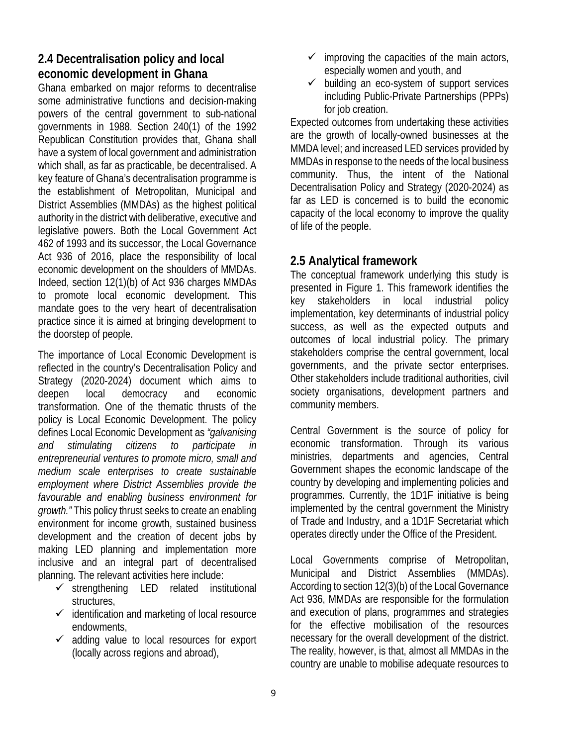### **2.4 Decentralisation policy and local economic development in Ghana**

Ghana embarked on major reforms to decentralise some administrative functions and decision-making powers of the central government to sub-national governments in 1988. Section 240(1) of the 1992 Republican Constitution provides that, Ghana shall have a system of local government and administration which shall, as far as practicable, be decentralised. A key feature of Ghana's decentralisation programme is the establishment of Metropolitan, Municipal and District Assemblies (MMDAs) as the highest political authority in the district with deliberative, executive and legislative powers. Both the Local Government Act 462 of 1993 and its successor, the Local Governance Act 936 of 2016, place the responsibility of local economic development on the shoulders of MMDAs. Indeed, section 12(1)(b) of Act 936 charges MMDAs to promote local economic development. This mandate goes to the very heart of decentralisation practice since it is aimed at bringing development to the doorstep of people.

The importance of Local Economic Development is reflected in the country's Decentralisation Policy and Strategy (2020-2024) document which aims to deepen local democracy and economic transformation. One of the thematic thrusts of the policy is Local Economic Development. The policy defines Local Economic Development as *"galvanising and stimulating citizens to participate in entrepreneurial ventures to promote micro, small and medium scale enterprises to create sustainable employment where District Assemblies provide the favourable and enabling business environment for growth."* This policy thrust seeks to create an enabling environment for income growth, sustained business development and the creation of decent jobs by making LED planning and implementation more inclusive and an integral part of decentralised planning. The relevant activities here include:

- $\checkmark$  strengthening LED related institutional structures,
- $\checkmark$  identification and marketing of local resource endowments,
- $\checkmark$  adding value to local resources for export (locally across regions and abroad),
- $\checkmark$  improving the capacities of the main actors, especially women and youth, and
- $\checkmark$  building an eco-system of support services including Public-Private Partnerships (PPPs) for job creation.

Expected outcomes from undertaking these activities are the growth of locally-owned businesses at the MMDA level; and increased LED services provided by MMDAs in response to the needs of the local business community. Thus, the intent of the National Decentralisation Policy and Strategy (2020-2024) as far as LED is concerned is to build the economic capacity of the local economy to improve the quality of life of the people.

### **2.5 Analytical framework**

The conceptual framework underlying this study is presented in Figure 1. This framework identifies the key stakeholders in local industrial policy implementation, key determinants of industrial policy success, as well as the expected outputs and outcomes of local industrial policy. The primary stakeholders comprise the central government, local governments, and the private sector enterprises. Other stakeholders include traditional authorities, civil society organisations, development partners and community members.

Central Government is the source of policy for economic transformation. Through its various ministries, departments and agencies, Central Government shapes the economic landscape of the country by developing and implementing policies and programmes. Currently, the 1D1F initiative is being implemented by the central government the Ministry of Trade and Industry, and a 1D1F Secretariat which operates directly under the Office of the President.

Local Governments comprise of Metropolitan, Municipal and District Assemblies (MMDAs). According to section 12(3)(b) of the Local Governance Act 936, MMDAs are responsible for the formulation and execution of plans, programmes and strategies for the effective mobilisation of the resources necessary for the overall development of the district. The reality, however, is that, almost all MMDAs in the country are unable to mobilise adequate resources to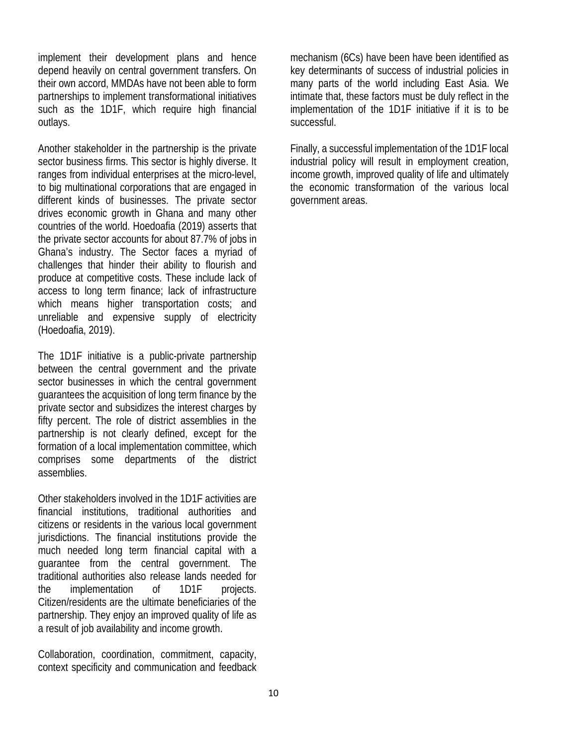implement their development plans and hence depend heavily on central government transfers. On their own accord, MMDAs have not been able to form partnerships to implement transformational initiatives such as the 1D1F, which require high financial outlays.

Another stakeholder in the partnership is the private sector business firms. This sector is highly diverse. It ranges from individual enterprises at the micro-level, to big multinational corporations that are engaged in different kinds of businesses. The private sector drives economic growth in Ghana and many other countries of the world. Hoedoafia (2019) asserts that the private sector accounts for about 87.7% of jobs in Ghana's industry. The Sector faces a myriad of challenges that hinder their ability to flourish and produce at competitive costs. These include lack of access to long term finance; lack of infrastructure which means higher transportation costs; and unreliable and expensive supply of electricity (Hoedoafia, 2019).

The 1D1F initiative is a public-private partnership between the central government and the private sector businesses in which the central government guarantees the acquisition of long term finance by the private sector and subsidizes the interest charges by fifty percent. The role of district assemblies in the partnership is not clearly defined, except for the formation of a local implementation committee, which comprises some departments of the district assemblies.

Other stakeholders involved in the 1D1F activities are financial institutions, traditional authorities and citizens or residents in the various local government jurisdictions. The financial institutions provide the much needed long term financial capital with a guarantee from the central government. The traditional authorities also release lands needed for the implementation of 1D1F projects. Citizen/residents are the ultimate beneficiaries of the partnership. They enjoy an improved quality of life as a result of job availability and income growth.

Collaboration, coordination, commitment, capacity, context specificity and communication and feedback mechanism (6Cs) have been have been identified as key determinants of success of industrial policies in many parts of the world including East Asia. We intimate that, these factors must be duly reflect in the implementation of the 1D1F initiative if it is to be successful.

Finally, a successful implementation of the 1D1F local industrial policy will result in employment creation, income growth, improved quality of life and ultimately the economic transformation of the various local government areas.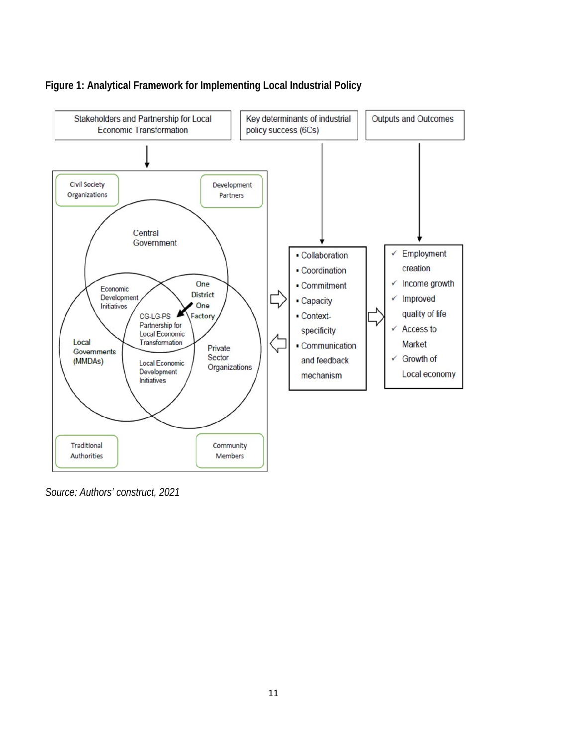

### **Figure 1: Analytical Framework for Implementing Local Industrial Policy**

*Source: Authors' construct, 2021*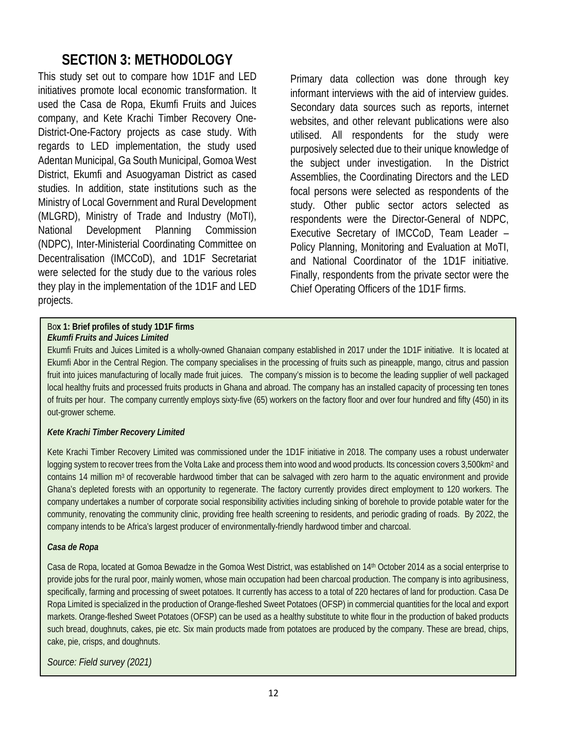### **SECTION 3: METHODOLOGY**

This study set out to compare how 1D1F and LED initiatives promote local economic transformation. It used the Casa de Ropa, Ekumfi Fruits and Juices company, and Kete Krachi Timber Recovery One-District-One-Factory projects as case study. With regards to LED implementation, the study used Adentan Municipal, Ga South Municipal, Gomoa West District, Ekumfi and Asuogyaman District as cased studies. In addition, state institutions such as the Ministry of Local Government and Rural Development (MLGRD), Ministry of Trade and Industry (MoTI), National Development Planning Commission (NDPC), Inter-Ministerial Coordinating Committee on Decentralisation (IMCCoD), and 1D1F Secretariat were selected for the study due to the various roles they play in the implementation of the 1D1F and LED projects.

Bo**x 1: Brief profiles of study 1D1F firms**  *Ekumfi Fruits and Juices Limited* 

Primary data collection was done through key informant interviews with the aid of interview guides. Secondary data sources such as reports, internet websites, and other relevant publications were also utilised. All respondents for the study were purposively selected due to their unique knowledge of the subject under investigation. In the District Assemblies, the Coordinating Directors and the LED focal persons were selected as respondents of the study. Other public sector actors selected as respondents were the Director-General of NDPC, Executive Secretary of IMCCoD, Team Leader – Policy Planning, Monitoring and Evaluation at MoTI, and National Coordinator of the 1D1F initiative. Finally, respondents from the private sector were the Chief Operating Officers of the 1D1F firms.

Ekumfi Fruits and Juices Limited is a wholly-owned Ghanaian company established in 2017 under the 1D1F initiative. It is located at Ekumfi Abor in the Central Region. The company specialises in the processing of fruits such as pineapple, mango, citrus and passion fruit into juices manufacturing of locally made fruit juices. The company's mission is to become the leading supplier of well packaged local healthy fruits and processed fruits products in Ghana and abroad. The company has an installed capacity of processing ten tones of fruits per hour. The company currently employs sixty-five (65) workers on the factory floor and over four hundred and fifty (450) in its out-grower scheme.

#### *Kete Krachi Timber Recovery Limited*

Kete Krachi Timber Recovery Limited was commissioned under the 1D1F initiative in 2018. The company uses a robust underwater logging system to recover trees from the Volta Lake and process them into wood and wood products. Its concession covers 3,500km<sup>2</sup> and contains 14 million  $m<sup>3</sup>$  of recoverable hardwood timber that can be salvaged with zero harm to the aquatic environment and provide Ghana's depleted forests with an opportunity to regenerate. The factory currently provides direct employment to 120 workers. The company undertakes a number of corporate social responsibility activities including sinking of borehole to provide potable water for the community, renovating the community clinic, providing free health screening to residents, and periodic grading of roads. By 2022, the company intends to be Africa's largest producer of environmentally-friendly hardwood timber and charcoal.

#### *Casa de Ropa*

L

Casa de Ropa, located at Gomoa Bewadze in the Gomoa West District, was established on 14<sup>th</sup> October 2014 as a social enterprise to provide jobs for the rural poor, mainly women, whose main occupation had been charcoal production. The company is into agribusiness, specifically, farming and processing of sweet potatoes. It currently has access to a total of 220 hectares of land for production. Casa De Ropa Limited is specialized in the production of Orange-fleshed Sweet Potatoes (OFSP) in commercial quantities for the local and export markets. Orange-fleshed Sweet Potatoes (OFSP) can be used as a healthy substitute to white flour in the production of baked products such bread, doughnuts, cakes, pie etc. Six main products made from potatoes are produced by the company. These are bread, chips, cake, pie, crisps, and doughnuts.

*Source: Field survey (2021)*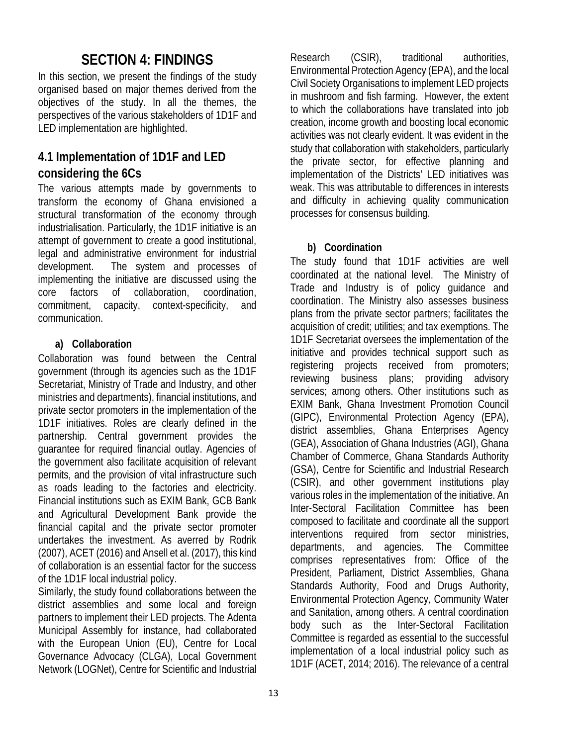### **SECTION 4: FINDINGS**

In this section, we present the findings of the study organised based on major themes derived from the objectives of the study. In all the themes, the perspectives of the various stakeholders of 1D1F and LED implementation are highlighted.

### **4.1 Implementation of 1D1F and LED considering the 6Cs**

The various attempts made by governments to transform the economy of Ghana envisioned a structural transformation of the economy through industrialisation. Particularly, the 1D1F initiative is an attempt of government to create a good institutional, legal and administrative environment for industrial development. The system and processes of implementing the initiative are discussed using the core factors of collaboration, coordination, commitment, capacity, context-specificity, and communication.

### **a) Collaboration**

Collaboration was found between the Central government (through its agencies such as the 1D1F Secretariat, Ministry of Trade and Industry, and other ministries and departments), financial institutions, and private sector promoters in the implementation of the 1D1F initiatives. Roles are clearly defined in the partnership. Central government provides the guarantee for required financial outlay. Agencies of the government also facilitate acquisition of relevant permits, and the provision of vital infrastructure such as roads leading to the factories and electricity. Financial institutions such as EXIM Bank, GCB Bank and Agricultural Development Bank provide the financial capital and the private sector promoter undertakes the investment. As averred by Rodrik (2007), ACET (2016) and Ansell et al. (2017), this kind of collaboration is an essential factor for the success of the 1D1F local industrial policy.

Similarly, the study found collaborations between the district assemblies and some local and foreign partners to implement their LED projects. The Adenta Municipal Assembly for instance, had collaborated with the European Union (EU), Centre for Local Governance Advocacy (CLGA), Local Government Network (LOGNet), Centre for Scientific and Industrial

Research (CSIR), traditional authorities, Environmental Protection Agency (EPA), and the local Civil Society Organisations to implement LED projects in mushroom and fish farming. However, the extent to which the collaborations have translated into job creation, income growth and boosting local economic activities was not clearly evident. It was evident in the study that collaboration with stakeholders, particularly the private sector, for effective planning and implementation of the Districts' LED initiatives was weak. This was attributable to differences in interests and difficulty in achieving quality communication processes for consensus building.

### **b) Coordination**

The study found that 1D1F activities are well coordinated at the national level. The Ministry of Trade and Industry is of policy guidance and coordination. The Ministry also assesses business plans from the private sector partners; facilitates the acquisition of credit; utilities; and tax exemptions. The 1D1F Secretariat oversees the implementation of the initiative and provides technical support such as registering projects received from promoters; reviewing business plans; providing advisory services; among others. Other institutions such as EXIM Bank, Ghana Investment Promotion Council (GIPC), Environmental Protection Agency (EPA), district assemblies, Ghana Enterprises Agency (GEA), Association of Ghana Industries (AGI), Ghana Chamber of Commerce, Ghana Standards Authority (GSA), Centre for Scientific and Industrial Research (CSIR), and other government institutions play various roles in the implementation of the initiative. An Inter-Sectoral Facilitation Committee has been composed to facilitate and coordinate all the support interventions required from sector ministries, departments, and agencies. The Committee comprises representatives from: Office of the President, Parliament, District Assemblies, Ghana Standards Authority, Food and Drugs Authority, Environmental Protection Agency, Community Water and Sanitation, among others. A central coordination body such as the Inter-Sectoral Facilitation Committee is regarded as essential to the successful implementation of a local industrial policy such as 1D1F (ACET, 2014; 2016). The relevance of a central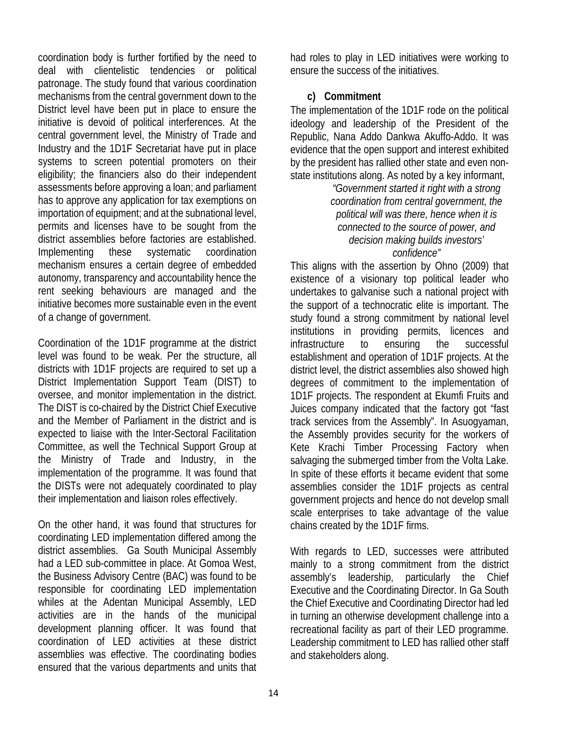coordination body is further fortified by the need to deal with clientelistic tendencies or political patronage. The study found that various coordination mechanisms from the central government down to the District level have been put in place to ensure the initiative is devoid of political interferences. At the central government level, the Ministry of Trade and Industry and the 1D1F Secretariat have put in place systems to screen potential promoters on their eligibility; the financiers also do their independent assessments before approving a loan; and parliament has to approve any application for tax exemptions on importation of equipment; and at the subnational level, permits and licenses have to be sought from the district assemblies before factories are established. Implementing these systematic coordination mechanism ensures a certain degree of embedded autonomy, transparency and accountability hence the rent seeking behaviours are managed and the initiative becomes more sustainable even in the event of a change of government.

Coordination of the 1D1F programme at the district level was found to be weak. Per the structure, all districts with 1D1F projects are required to set up a District Implementation Support Team (DIST) to oversee, and monitor implementation in the district. The DIST is co-chaired by the District Chief Executive and the Member of Parliament in the district and is expected to liaise with the Inter-Sectoral Facilitation Committee, as well the Technical Support Group at the Ministry of Trade and Industry, in the implementation of the programme. It was found that the DISTs were not adequately coordinated to play their implementation and liaison roles effectively.

On the other hand, it was found that structures for coordinating LED implementation differed among the district assemblies. Ga South Municipal Assembly had a LED sub-committee in place. At Gomoa West, the Business Advisory Centre (BAC) was found to be responsible for coordinating LED implementation whiles at the Adentan Municipal Assembly, LED activities are in the hands of the municipal development planning officer. It was found that coordination of LED activities at these district assemblies was effective. The coordinating bodies ensured that the various departments and units that

had roles to play in LED initiatives were working to ensure the success of the initiatives.

#### **c) Commitment**

The implementation of the 1D1F rode on the political ideology and leadership of the President of the Republic, Nana Addo Dankwa Akuffo-Addo. It was evidence that the open support and interest exhibited by the president has rallied other state and even nonstate institutions along. As noted by a key informant,

*"Government started it right with a strong coordination from central government, the political will was there, hence when it is connected to the source of power, and decision making builds investors' confidence"* 

This aligns with the assertion by Ohno (2009) that existence of a visionary top political leader who undertakes to galvanise such a national project with the support of a technocratic elite is important. The study found a strong commitment by national level institutions in providing permits, licences and infrastructure to ensuring the successful establishment and operation of 1D1F projects. At the district level, the district assemblies also showed high degrees of commitment to the implementation of 1D1F projects. The respondent at Ekumfi Fruits and Juices company indicated that the factory got "fast track services from the Assembly". In Asuogyaman, the Assembly provides security for the workers of Kete Krachi Timber Processing Factory when salvaging the submerged timber from the Volta Lake. In spite of these efforts it became evident that some assemblies consider the 1D1F projects as central government projects and hence do not develop small scale enterprises to take advantage of the value chains created by the 1D1F firms.

With regards to LED, successes were attributed mainly to a strong commitment from the district assembly's leadership, particularly the Chief Executive and the Coordinating Director. In Ga South the Chief Executive and Coordinating Director had led in turning an otherwise development challenge into a recreational facility as part of their LED programme. Leadership commitment to LED has rallied other staff and stakeholders along.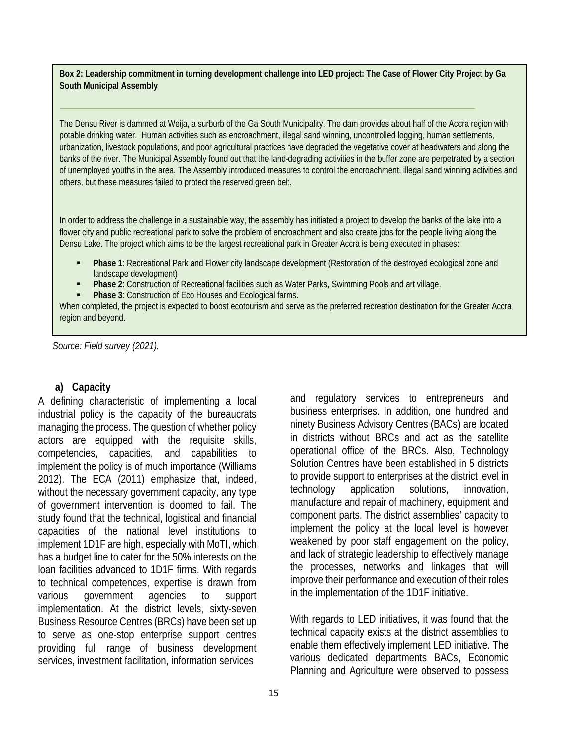**Box 2: Leadership commitment in turning development challenge into LED project: The Case of Flower City Project by Ga South Municipal Assembly** 

The Densu River is dammed at Weija, a surburb of the Ga South Municipality. The dam provides about half of the Accra region with potable drinking water. Human activities such as encroachment, illegal sand winning, uncontrolled logging, human settlements, urbanization, livestock populations, and poor agricultural practices have degraded the vegetative cover at headwaters and along the banks of the river. The Municipal Assembly found out that the land-degrading activities in the buffer zone are perpetrated by a section of unemployed youths in the area. The Assembly introduced measures to control the encroachment, illegal sand winning activities and others, but these measures failed to protect the reserved green belt.

In order to address the challenge in a sustainable way, the assembly has initiated a project to develop the banks of the lake into a flower city and public recreational park to solve the problem of encroachment and also create jobs for the people living along the Densu Lake. The project which aims to be the largest recreational park in Greater Accra is being executed in phases:

- **Phase 1**: Recreational Park and Flower city landscape development (Restoration of the destroyed ecological zone and landscape development)
- **Phase 2**: Construction of Recreational facilities such as Water Parks, Swimming Pools and art village.
- **Phase 3: Construction of Eco Houses and Ecological farms.**

When completed, the project is expected to boost ecotourism and serve as the preferred recreation destination for the Greater Accra region and beyond.

*Source: Field survey (2021).* 

#### **a) Capacity**

A defining characteristic of implementing a local industrial policy is the capacity of the bureaucrats managing the process. The question of whether policy actors are equipped with the requisite skills, competencies, capacities, and capabilities to implement the policy is of much importance (Williams 2012). The ECA (2011) emphasize that, indeed, without the necessary government capacity, any type of government intervention is doomed to fail. The study found that the technical, logistical and financial capacities of the national level institutions to implement 1D1F are high, especially with MoTI, which has a budget line to cater for the 50% interests on the loan facilities advanced to 1D1F firms. With regards to technical competences, expertise is drawn from various government agencies to support implementation. At the district levels, sixty-seven Business Resource Centres (BRCs) have been set up to serve as one-stop enterprise support centres providing full range of business development services, investment facilitation, information services

and regulatory services to entrepreneurs and business enterprises. In addition, one hundred and ninety Business Advisory Centres (BACs) are located in districts without BRCs and act as the satellite operational office of the BRCs. Also, Technology Solution Centres have been established in 5 districts to provide support to enterprises at the district level in technology application solutions, innovation, manufacture and repair of machinery, equipment and component parts. The district assemblies' capacity to implement the policy at the local level is however weakened by poor staff engagement on the policy, and lack of strategic leadership to effectively manage the processes, networks and linkages that will improve their performance and execution of their roles in the implementation of the 1D1F initiative.

With regards to LED initiatives, it was found that the technical capacity exists at the district assemblies to enable them effectively implement LED initiative. The various dedicated departments BACs, Economic Planning and Agriculture were observed to possess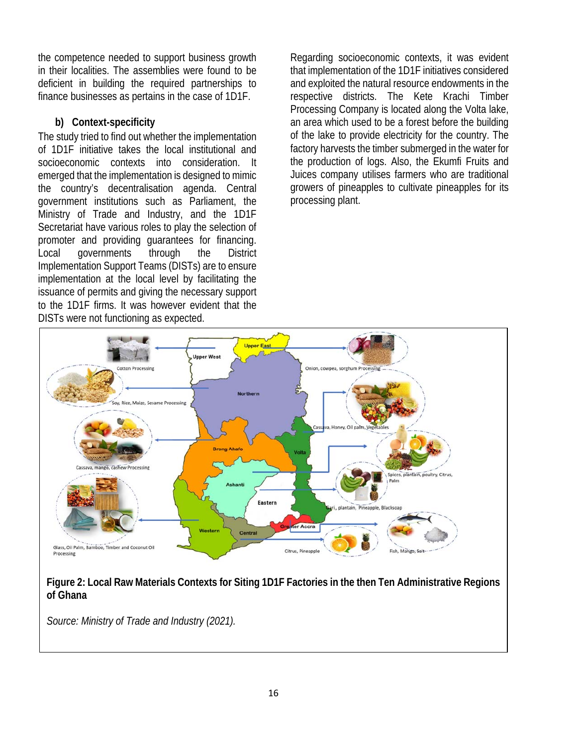the competence needed to support business growth in their localities. The assemblies were found to be deficient in building the required partnerships to finance businesses as pertains in the case of 1D1F.

### **b) Context-specificity**

The study tried to find out whether the implementation of 1D1F initiative takes the local institutional and socioeconomic contexts into consideration. It emerged that the implementation is designed to mimic the country's decentralisation agenda. Central government institutions such as Parliament, the Ministry of Trade and Industry, and the 1D1F Secretariat have various roles to play the selection of promoter and providing guarantees for financing. Local governments through the District Implementation Support Teams (DISTs) are to ensure implementation at the local level by facilitating the issuance of permits and giving the necessary support to the 1D1F firms. It was however evident that the DISTs were not functioning as expected.

Regarding socioeconomic contexts, it was evident that implementation of the 1D1F initiatives considered and exploited the natural resource endowments in the respective districts. The Kete Krachi Timber Processing Company is located along the Volta lake, an area which used to be a forest before the building of the lake to provide electricity for the country. The factory harvests the timber submerged in the water for the production of logs. Also, the Ekumfi Fruits and Juices company utilises farmers who are traditional growers of pineapples to cultivate pineapples for its processing plant.



### **Figure 2: Local Raw Materials Contexts for Siting 1D1F Factories in the then Ten Administrative Regions of Ghana**

*Source: Ministry of Trade and Industry (2021).*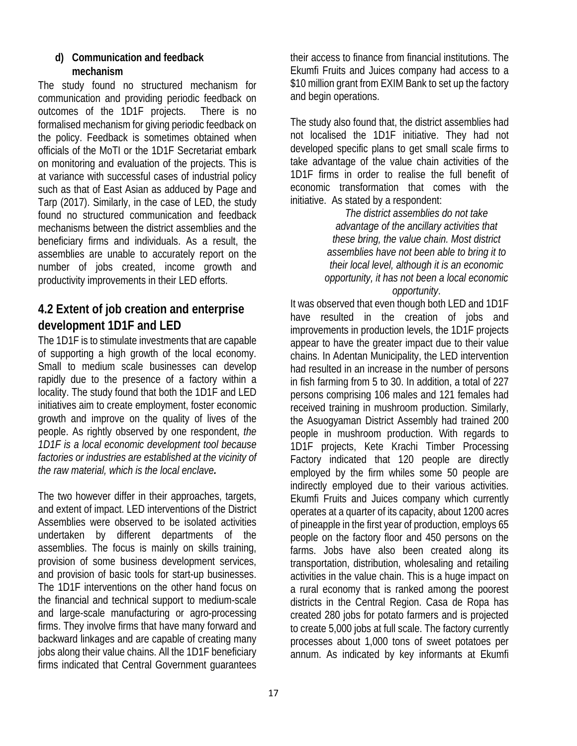#### **d) Communication and feedback mechanism**

The study found no structured mechanism for communication and providing periodic feedback on outcomes of the 1D1F projects. There is no formalised mechanism for giving periodic feedback on the policy. Feedback is sometimes obtained when officials of the MoTI or the 1D1F Secretariat embark on monitoring and evaluation of the projects. This is at variance with successful cases of industrial policy such as that of East Asian as adduced by Page and Tarp (2017). Similarly, in the case of LED, the study found no structured communication and feedback mechanisms between the district assemblies and the beneficiary firms and individuals. As a result, the assemblies are unable to accurately report on the number of jobs created, income growth and productivity improvements in their LED efforts.

### **4.2 Extent of job creation and enterprise development 1D1F and LED**

The 1D1F is to stimulate investments that are capable of supporting a high growth of the local economy. Small to medium scale businesses can develop rapidly due to the presence of a factory within a locality. The study found that both the 1D1F and LED initiatives aim to create employment, foster economic growth and improve on the quality of lives of the people. As rightly observed by one respondent, *the 1D1F is a local economic development tool because factories or industries are established at the vicinity of the raw material, which is the local enclave.*

The two however differ in their approaches, targets, and extent of impact. LED interventions of the District Assemblies were observed to be isolated activities undertaken by different departments of the assemblies. The focus is mainly on skills training, provision of some business development services, and provision of basic tools for start-up businesses. The 1D1F interventions on the other hand focus on the financial and technical support to medium-scale and large-scale manufacturing or agro-processing firms. They involve firms that have many forward and backward linkages and are capable of creating many jobs along their value chains. All the 1D1F beneficiary firms indicated that Central Government guarantees

their access to finance from financial institutions. The Ekumfi Fruits and Juices company had access to a \$10 million grant from EXIM Bank to set up the factory and begin operations.

The study also found that, the district assemblies had not localised the 1D1F initiative. They had not developed specific plans to get small scale firms to take advantage of the value chain activities of the 1D1F firms in order to realise the full benefit of economic transformation that comes with the initiative. As stated by a respondent:

> *The district assemblies do not take advantage of the ancillary activities that these bring, the value chain. Most district assemblies have not been able to bring it to their local level, although it is an economic opportunity, it has not been a local economic opportunity*.

It was observed that even though both LED and 1D1F have resulted in the creation of jobs and improvements in production levels, the 1D1F projects appear to have the greater impact due to their value chains. In Adentan Municipality, the LED intervention had resulted in an increase in the number of persons in fish farming from 5 to 30. In addition, a total of 227 persons comprising 106 males and 121 females had received training in mushroom production. Similarly, the Asuogyaman District Assembly had trained 200 people in mushroom production. With regards to 1D1F projects, Kete Krachi Timber Processing Factory indicated that 120 people are directly employed by the firm whiles some 50 people are indirectly employed due to their various activities. Ekumfi Fruits and Juices company which currently operates at a quarter of its capacity, about 1200 acres of pineapple in the first year of production, employs 65 people on the factory floor and 450 persons on the farms. Jobs have also been created along its transportation, distribution, wholesaling and retailing activities in the value chain. This is a huge impact on a rural economy that is ranked among the poorest districts in the Central Region. Casa de Ropa has created 280 jobs for potato farmers and is projected to create 5,000 jobs at full scale. The factory currently processes about 1,000 tons of sweet potatoes per annum. As indicated by key informants at Ekumfi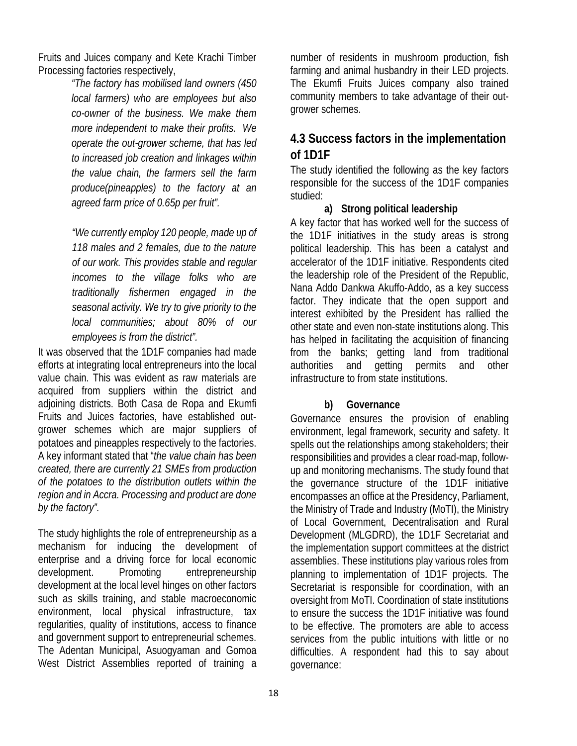Fruits and Juices company and Kete Krachi Timber Processing factories respectively,

> *"The factory has mobilised land owners (450 local farmers) who are employees but also co-owner of the business. We make them more independent to make their profits. We operate the out-grower scheme, that has led to increased job creation and linkages within the value chain, the farmers sell the farm produce(pineapples) to the factory at an agreed farm price of 0.65p per fruit".*

> *"We currently employ 120 people, made up of 118 males and 2 females, due to the nature of our work. This provides stable and regular incomes to the village folks who are traditionally fishermen engaged in the seasonal activity. We try to give priority to the local communities; about 80% of our employees is from the district".*

It was observed that the 1D1F companies had made efforts at integrating local entrepreneurs into the local value chain. This was evident as raw materials are acquired from suppliers within the district and adjoining districts. Both Casa de Ropa and Ekumfi Fruits and Juices factories, have established outgrower schemes which are major suppliers of potatoes and pineapples respectively to the factories. A key informant stated that "*the value chain has been created, there are currently 21 SMEs from production of the potatoes to the distribution outlets within the region and in Accra. Processing and product are done by the factory".* 

The study highlights the role of entrepreneurship as a mechanism for inducing the development of enterprise and a driving force for local economic development. Promoting entrepreneurship development at the local level hinges on other factors such as skills training, and stable macroeconomic environment, local physical infrastructure, tax regularities, quality of institutions, access to finance and government support to entrepreneurial schemes. The Adentan Municipal, Asuogyaman and Gomoa West District Assemblies reported of training a

number of residents in mushroom production, fish farming and animal husbandry in their LED projects. The Ekumfi Fruits Juices company also trained community members to take advantage of their outgrower schemes.

### **4.3 Success factors in the implementation of 1D1F**

The study identified the following as the key factors responsible for the success of the 1D1F companies studied:

#### **a) Strong political leadership**

A key factor that has worked well for the success of the 1D1F initiatives in the study areas is strong political leadership. This has been a catalyst and accelerator of the 1D1F initiative. Respondents cited the leadership role of the President of the Republic, Nana Addo Dankwa Akuffo-Addo, as a key success factor. They indicate that the open support and interest exhibited by the President has rallied the other state and even non-state institutions along. This has helped in facilitating the acquisition of financing from the banks; getting land from traditional authorities and getting permits and other infrastructure to from state institutions.

#### **b) Governance**

Governance ensures the provision of enabling environment, legal framework, security and safety. It spells out the relationships among stakeholders; their responsibilities and provides a clear road-map, followup and monitoring mechanisms. The study found that the governance structure of the 1D1F initiative encompasses an office at the Presidency, Parliament, the Ministry of Trade and Industry (MoTI), the Ministry of Local Government, Decentralisation and Rural Development (MLGDRD), the 1D1F Secretariat and the implementation support committees at the district assemblies. These institutions play various roles from planning to implementation of 1D1F projects. The Secretariat is responsible for coordination, with an oversight from MoTI. Coordination of state institutions to ensure the success the 1D1F initiative was found to be effective. The promoters are able to access services from the public intuitions with little or no difficulties. A respondent had this to say about governance: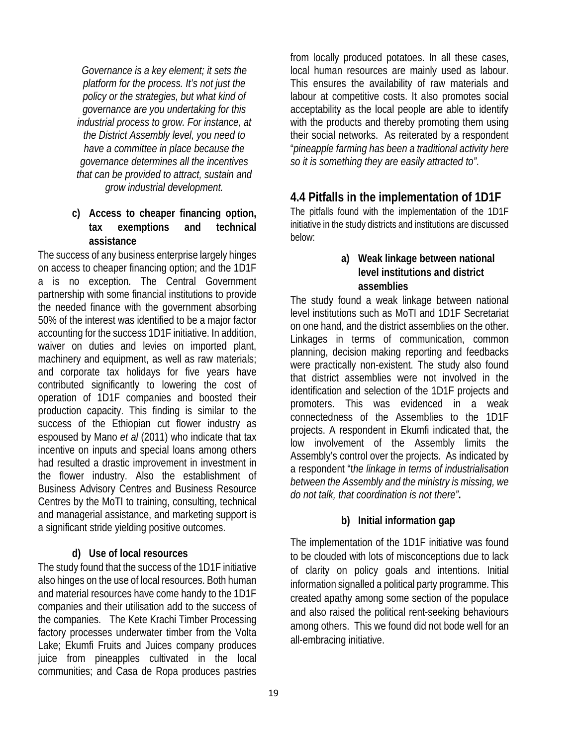*Governance is a key element; it sets the platform for the process. It's not just the policy or the strategies, but what kind of governance are you undertaking for this industrial process to grow. For instance, at the District Assembly level, you need to have a committee in place because the governance determines all the incentives that can be provided to attract, sustain and grow industrial development.* 

### **c) Access to cheaper financing option, tax exemptions and technical assistance**

The success of any business enterprise largely hinges on access to cheaper financing option; and the 1D1F a is no exception. The Central Government partnership with some financial institutions to provide the needed finance with the government absorbing 50% of the interest was identified to be a major factor accounting for the success 1D1F initiative. In addition, waiver on duties and levies on imported plant, machinery and equipment, as well as raw materials; and corporate tax holidays for five years have contributed significantly to lowering the cost of operation of 1D1F companies and boosted their production capacity. This finding is similar to the success of the Ethiopian cut flower industry as espoused by Mano *et al* (2011) who indicate that tax incentive on inputs and special loans among others had resulted a drastic improvement in investment in the flower industry. Also the establishment of Business Advisory Centres and Business Resource Centres by the MoTI to training, consulting, technical and managerial assistance, and marketing support is a significant stride yielding positive outcomes.

### **d) Use of local resources**

The study found that the success of the 1D1F initiative also hinges on the use of local resources. Both human and material resources have come handy to the 1D1F companies and their utilisation add to the success of the companies. The Kete Krachi Timber Processing factory processes underwater timber from the Volta Lake; Ekumfi Fruits and Juices company produces juice from pineapples cultivated in the local communities; and Casa de Ropa produces pastries

from locally produced potatoes. In all these cases, local human resources are mainly used as labour. This ensures the availability of raw materials and labour at competitive costs. It also promotes social acceptability as the local people are able to identify with the products and thereby promoting them using their social networks. As reiterated by a respondent "*pineapple farming has been a traditional activity here so it is something they are easily attracted to"*.

### **4.4 Pitfalls in the implementation of 1D1F**

The pitfalls found with the implementation of the 1D1F initiative in the study districts and institutions are discussed below:

### **a) Weak linkage between national level institutions and district assemblies**

The study found a weak linkage between national level institutions such as MoTI and 1D1F Secretariat on one hand, and the district assemblies on the other. Linkages in terms of communication, common planning, decision making reporting and feedbacks were practically non-existent. The study also found that district assemblies were not involved in the identification and selection of the 1D1F projects and promoters. This was evidenced in a weak connectedness of the Assemblies to the 1D1F projects. A respondent in Ekumfi indicated that, the low involvement of the Assembly limits the Assembly's control over the projects. As indicated by a respondent "t*he linkage in terms of industrialisation between the Assembly and the ministry is missing, we do not talk, that coordination is not there"***.**

### **b) Initial information gap**

The implementation of the 1D1F initiative was found to be clouded with lots of misconceptions due to lack of clarity on policy goals and intentions. Initial information signalled a political party programme. This created apathy among some section of the populace and also raised the political rent-seeking behaviours among others. This we found did not bode well for an all-embracing initiative.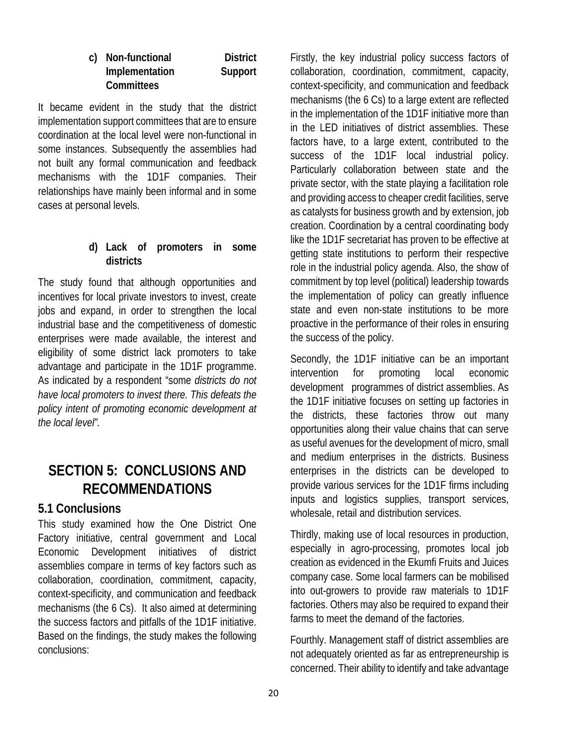#### **c) Non-functional District Implementation Support Committees**

It became evident in the study that the district implementation support committees that are to ensure coordination at the local level were non-functional in some instances. Subsequently the assemblies had not built any formal communication and feedback mechanisms with the 1D1F companies. Their relationships have mainly been informal and in some cases at personal levels.

### **d) Lack of promoters in some districts**

The study found that although opportunities and incentives for local private investors to invest, create jobs and expand, in order to strengthen the local industrial base and the competitiveness of domestic enterprises were made available, the interest and eligibility of some district lack promoters to take advantage and participate in the 1D1F programme. As indicated by a respondent "some *districts do not have local promoters to invest there. This defeats the policy intent of promoting economic development at the local level".* 

### **SECTION 5: CONCLUSIONS AND RECOMMENDATIONS**

### **5.1 Conclusions**

This study examined how the One District One Factory initiative, central government and Local Economic Development initiatives of district assemblies compare in terms of key factors such as collaboration, coordination, commitment, capacity, context-specificity, and communication and feedback mechanisms (the 6 Cs). It also aimed at determining the success factors and pitfalls of the 1D1F initiative. Based on the findings, the study makes the following conclusions:

Firstly, the key industrial policy success factors of collaboration, coordination, commitment, capacity, context-specificity, and communication and feedback mechanisms (the 6 Cs) to a large extent are reflected in the implementation of the 1D1F initiative more than in the LED initiatives of district assemblies. These factors have, to a large extent, contributed to the success of the 1D1F local industrial policy. Particularly collaboration between state and the private sector, with the state playing a facilitation role and providing access to cheaper credit facilities, serve as catalysts for business growth and by extension, job creation. Coordination by a central coordinating body like the 1D1F secretariat has proven to be effective at getting state institutions to perform their respective role in the industrial policy agenda. Also, the show of commitment by top level (political) leadership towards the implementation of policy can greatly influence state and even non-state institutions to be more proactive in the performance of their roles in ensuring the success of the policy.

Secondly, the 1D1F initiative can be an important intervention for promoting local economic development programmes of district assemblies. As the 1D1F initiative focuses on setting up factories in the districts, these factories throw out many opportunities along their value chains that can serve as useful avenues for the development of micro, small and medium enterprises in the districts. Business enterprises in the districts can be developed to provide various services for the 1D1F firms including inputs and logistics supplies, transport services, wholesale, retail and distribution services.

Thirdly, making use of local resources in production, especially in agro-processing, promotes local job creation as evidenced in the Ekumfi Fruits and Juices company case. Some local farmers can be mobilised into out-growers to provide raw materials to 1D1F factories. Others may also be required to expand their farms to meet the demand of the factories.

Fourthly. Management staff of district assemblies are not adequately oriented as far as entrepreneurship is concerned. Their ability to identify and take advantage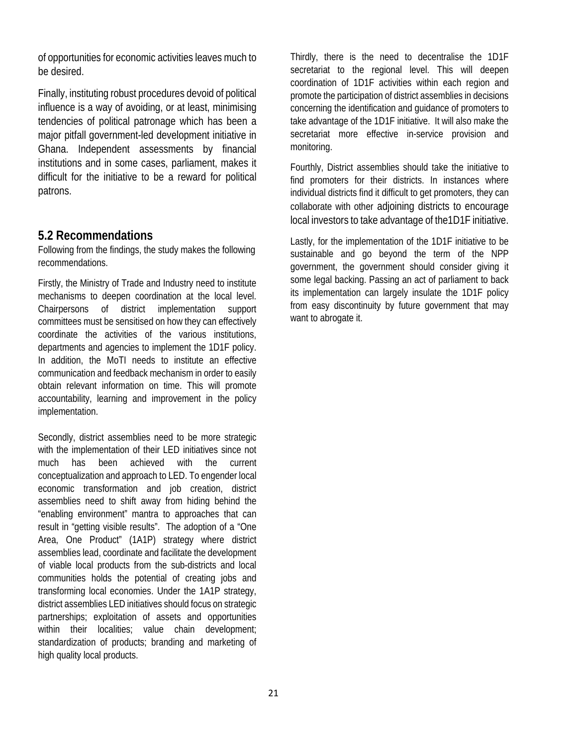of opportunities for economic activities leaves much to be desired.

Finally, instituting robust procedures devoid of political influence is a way of avoiding, or at least, minimising tendencies of political patronage which has been a major pitfall government-led development initiative in Ghana. Independent assessments by financial institutions and in some cases, parliament, makes it difficult for the initiative to be a reward for political patrons.

### **5.2 Recommendations**

Following from the findings, the study makes the following recommendations.

Firstly, the Ministry of Trade and Industry need to institute mechanisms to deepen coordination at the local level. Chairpersons of district implementation support committees must be sensitised on how they can effectively coordinate the activities of the various institutions, departments and agencies to implement the 1D1F policy. In addition, the MoTI needs to institute an effective communication and feedback mechanism in order to easily obtain relevant information on time. This will promote accountability, learning and improvement in the policy implementation.

Secondly, district assemblies need to be more strategic with the implementation of their LED initiatives since not much has been achieved with the current conceptualization and approach to LED. To engender local economic transformation and job creation, district assemblies need to shift away from hiding behind the "enabling environment" mantra to approaches that can result in "getting visible results". The adoption of a "One Area, One Product" (1A1P) strategy where district assemblies lead, coordinate and facilitate the development of viable local products from the sub-districts and local communities holds the potential of creating jobs and transforming local economies. Under the 1A1P strategy, district assemblies LED initiatives should focus on strategic partnerships; exploitation of assets and opportunities within their localities; value chain development; standardization of products; branding and marketing of high quality local products.

Thirdly, there is the need to decentralise the 1D1F secretariat to the regional level. This will deepen coordination of 1D1F activities within each region and promote the participation of district assemblies in decisions concerning the identification and guidance of promoters to take advantage of the 1D1F initiative. It will also make the secretariat more effective in-service provision and monitoring.

Fourthly, District assemblies should take the initiative to find promoters for their districts. In instances where individual districts find it difficult to get promoters, they can collaborate with other adjoining districts to encourage local investors to take advantage of the1D1F initiative.

Lastly, for the implementation of the 1D1F initiative to be sustainable and go beyond the term of the NPP government, the government should consider giving it some legal backing. Passing an act of parliament to back its implementation can largely insulate the 1D1F policy from easy discontinuity by future government that may want to abrogate it.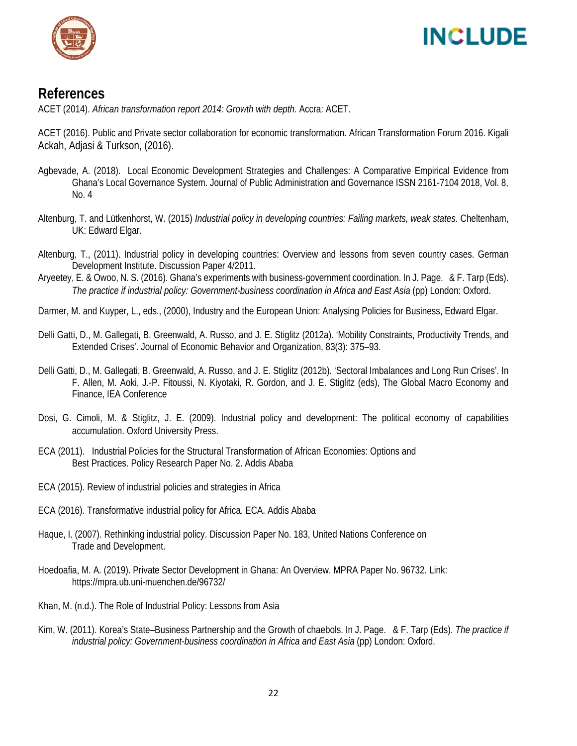

## **INCLUDE**

### **References**

ACET (2014). *African transformation report 2014: Growth with depth.* Accra: ACET.

ACET (2016). Public and Private sector collaboration for economic transformation. African Transformation Forum 2016. Kigali Ackah, Adjasi & Turkson, (2016).

- Agbevade, A. (2018). Local Economic Development Strategies and Challenges: A Comparative Empirical Evidence from Ghana's Local Governance System. Journal of Public Administration and Governance ISSN 2161-7104 2018, Vol. 8, No. 4
- Altenburg, T. and Lütkenhorst, W. (2015) *Industrial policy in developing countries: Failing markets, weak states.* Cheltenham, UK: Edward Elgar.
- Altenburg, T., (2011). Industrial policy in developing countries: Overview and lessons from seven country cases. German Development Institute. Discussion Paper 4/2011.
- Aryeetey, E. & Owoo, N. S. (2016). Ghana's experiments with business-government coordination. In J. Page. & F. Tarp (Eds). *The practice if industrial policy: Government-business coordination in Africa and East Asia* (pp) London: Oxford.

Darmer, M. and Kuyper, L., eds., (2000), Industry and the European Union: Analysing Policies for Business, Edward Elgar.

- Delli Gatti, D., M. Gallegati, B. Greenwald, A. Russo, and J. E. Stiglitz (2012a). 'Mobility Constraints, Productivity Trends, and Extended Crises'. Journal of Economic Behavior and Organization, 83(3): 375–93.
- Delli Gatti, D., M. Gallegati, B. Greenwald, A. Russo, and J. E. Stiglitz (2012b). 'Sectoral Imbalances and Long Run Crises'. In F. Allen, M. Aoki, J.-P. Fitoussi, N. Kiyotaki, R. Gordon, and J. E. Stiglitz (eds), The Global Macro Economy and Finance, IEA Conference
- Dosi, G. Cimoli, M. & Stiglitz, J. E. (2009). Industrial policy and development: The political economy of capabilities accumulation. Oxford University Press.
- ECA (2011). Industrial Policies for the Structural Transformation of African Economies: Options and Best Practices. Policy Research Paper No. 2. Addis Ababa
- ECA (2015). Review of industrial policies and strategies in Africa
- ECA (2016). Transformative industrial policy for Africa. ECA. Addis Ababa
- Haque, I. (2007). Rethinking industrial policy. Discussion Paper No. 183, United Nations Conference on Trade and Development.
- Hoedoafia, M. A. (2019). Private Sector Development in Ghana: An Overview. MPRA Paper No. 96732. Link: https://mpra.ub.uni-muenchen.de/96732/
- Khan, M. (n.d.). The Role of Industrial Policy: Lessons from Asia
- Kim, W. (2011). Korea's State–Business Partnership and the Growth of chaebols. In J. Page. & F. Tarp (Eds). *The practice if industrial policy: Government-business coordination in Africa and East Asia* (pp) London: Oxford.